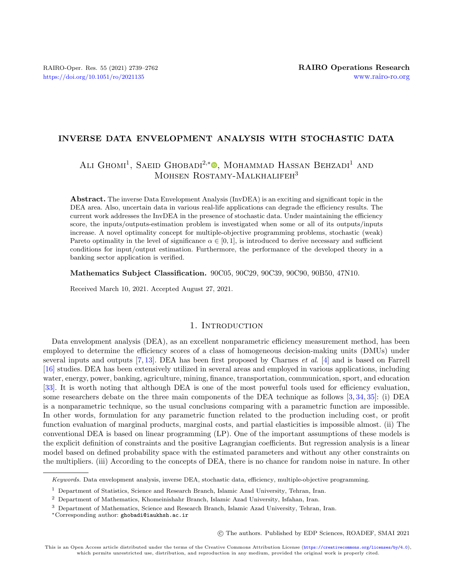## INVERSE DATA ENVELOPMENT ANALYSIS WITH STOCHASTIC DATA

# ALI GHOMI<sup>1</sup>, SAEID GHOBADI<sup>2,\*</sup><sup>®</sup>, MOHAMMAD HASSAN BEHZADI<sup>1</sup> AND MOHSEN ROSTAMY-MALKHALIFEH<sup>3</sup>

Abstract. The inverse Data Envelopment Analysis (InvDEA) is an exciting and significant topic in the DEA area. Also, uncertain data in various real-life applications can degrade the efficiency results. The current work addresses the InvDEA in the presence of stochastic data. Under maintaining the efficiency score, the inputs/outputs-estimation problem is investigated when some or all of its outputs/inputs increase. A novel optimality concept for multiple-objective programming problems, stochastic (weak) Pareto optimality in the level of significance  $\alpha \in [0, 1]$ , is introduced to derive necessary and sufficient conditions for input/output estimation. Furthermore, the performance of the developed theory in a banking sector application is verified.

Mathematics Subject Classification. 90C05, 90C29, 90C39, 90C90, 90B50, 47N10.

Received March 10, 2021. Accepted August 27, 2021.

### 1. INTRODUCTION

Data envelopment analysis (DEA), as an excellent nonparametric efficiency measurement method, has been employed to determine the efficiency scores of a class of homogeneous decision-making units (DMUs) under several inputs and outputs [\[7,](#page-22-0) [13\]](#page-22-1). DEA has been first proposed by Charnes et al. [\[4\]](#page-22-2) and is based on Farrell [\[16\]](#page-22-3) studies. DEA has been extensively utilized in several areas and employed in various applications, including water, energy, power, banking, agriculture, mining, finance, transportation, communication, sport, and education [\[33\]](#page-22-4). It is worth noting that although DEA is one of the most powerful tools used for efficiency evaluation, some researchers debate on the three main components of the DEA technique as follows [\[3,](#page-22-5) [34,](#page-22-6) [35\]](#page-23-0): (i) DEA is a nonparametric technique, so the usual conclusions comparing with a parametric function are impossible. In other words, formulation for any parametric function related to the production including cost, or profit function evaluation of marginal products, marginal costs, and partial elasticities is impossible almost. (ii) The conventional DEA is based on linear programming (LP). One of the important assumptions of these models is the explicit definition of constraints and the positive Lagrangian coefficients. But regression analysis is a linear model based on defined probability space with the estimated parameters and without any other constraints on the multipliers. (iii) According to the concepts of DEA, there is no chance for random noise in nature. In other

c The authors. Published by EDP Sciences, ROADEF, SMAI 2021

Keywords. Data envelopment analysis, inverse DEA, stochastic data, efficiency, multiple-objective programming.

<sup>1</sup> Department of Statistics, Science and Research Branch, Islamic Azad University, Tehran, Iran.

<sup>2</sup> Department of Mathematics, Khomeinishahr Branch, Islamic Azad University, Isfahan, Iran.

<sup>3</sup> Department of Mathematics, Science and Research Branch, Islamic Azad University, Tehran, Iran.

<sup>∗</sup>Corresponding author: [ghobadi@iaukhsh.ac.ir](mailto:ghobadi@iaukhsh.ac.ir)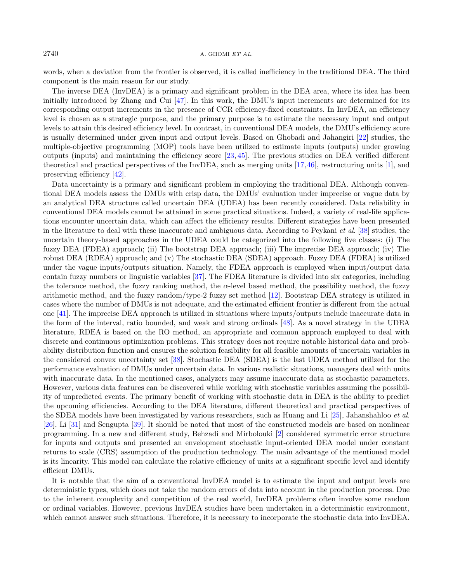words, when a deviation from the frontier is observed, it is called inefficiency in the traditional DEA. The third component is the main reason for our study.

The inverse DEA (InvDEA) is a primary and significant problem in the DEA area, where its idea has been initially introduced by Zhang and Cui [\[47\]](#page-23-1). In this work, the DMU's input increments are determined for its corresponding output increments in the presence of CCR efficiency-fixed constraints. In InvDEA, an efficiency level is chosen as a strategic purpose, and the primary purpose is to estimate the necessary input and output levels to attain this desired efficiency level. In contrast, in conventional DEA models, the DMU's efficiency score is usually determined under given input and output levels. Based on Ghobadi and Jahangiri [\[22\]](#page-22-7) studies, the multiple-objective programming (MOP) tools have been utilized to estimate inputs (outputs) under growing outputs (inputs) and maintaining the efficiency score [\[23,](#page-22-8) [45\]](#page-23-2). The previous studies on DEA verified different theoretical and practical perspectives of the InvDEA, such as merging units [\[17,](#page-22-9)[46\]](#page-23-3), restructuring units [\[1\]](#page-22-10), and preserving efficiency [\[42\]](#page-23-4).

Data uncertainty is a primary and significant problem in employing the traditional DEA. Although conventional DEA models assess the DMUs with crisp data, the DMUs' evaluation under imprecise or vague data by an analytical DEA structure called uncertain DEA (UDEA) has been recently considered. Data reliability in conventional DEA models cannot be attained in some practical situations. Indeed, a variety of real-life applications encounter uncertain data, which can affect the efficiency results. Different strategies have been presented in the literature to deal with these inaccurate and ambiguous data. According to Peykani et al. [\[38\]](#page-23-5) studies, the uncertain theory-based approaches in the UDEA could be categorized into the following five classes: (i) The fuzzy DEA (FDEA) approach; (ii) The bootstrap DEA approach; (iii) The imprecise DEA approach; (iv) The robust DEA (RDEA) approach; and (v) The stochastic DEA (SDEA) approach. Fuzzy DEA (FDEA) is utilized under the vague inputs/outputs situation. Namely, the FDEA approach is employed when input/output data contain fuzzy numbers or linguistic variables [\[37\]](#page-23-6). The FDEA literature is divided into six categories, including the tolerance method, the fuzzy ranking method, the  $\alpha$ -level based method, the possibility method, the fuzzy arithmetic method, and the fuzzy random/type-2 fuzzy set method [\[12\]](#page-22-11). Bootstrap DEA strategy is utilized in cases where the number of DMUs is not adequate, and the estimated efficient frontier is different from the actual one [\[41\]](#page-23-7). The imprecise DEA approach is utilized in situations where inputs/outputs include inaccurate data in the form of the interval, ratio bounded, and weak and strong ordinals [\[48\]](#page-23-8). As a novel strategy in the UDEA literature, RDEA is based on the RO method, an appropriate and common approach employed to deal with discrete and continuous optimization problems. This strategy does not require notable historical data and probability distribution function and ensures the solution feasibility for all feasible amounts of uncertain variables in the considered convex uncertainty set [\[38\]](#page-23-5). Stochastic DEA (SDEA) is the last UDEA method utilized for the performance evaluation of DMUs under uncertain data. In various realistic situations, managers deal with units with inaccurate data. In the mentioned cases, analyzers may assume inaccurate data as stochastic parameters. However, various data features can be discovered while working with stochastic variables assuming the possibility of unpredicted events. The primary benefit of working with stochastic data in DEA is the ability to predict the upcoming efficiencies. According to the DEA literature, different theoretical and practical perspectives of the SDEA models have been investigated by various researchers, such as Huang and Li [\[25\]](#page-22-12), Jahanshahloo et al. [\[26\]](#page-22-13), Li [\[31\]](#page-22-14) and Sengupta [\[39\]](#page-23-9). It should be noted that most of the constructed models are based on nonlinear programming. In a new and different study, Behzadi and Mirbolouki [\[2\]](#page-22-15) considered symmetric error structure for inputs and outputs and presented an envelopment stochastic input-oriented DEA model under constant returns to scale (CRS) assumption of the production technology. The main advantage of the mentioned model is its linearity. This model can calculate the relative efficiency of units at a significant specific level and identify efficient DMUs.

It is notable that the aim of a conventional InvDEA model is to estimate the input and output levels are deterministic types, which does not take the random errors of data into account in the production process. Due to the inherent complexity and competition of the real world, InvDEA problems often involve some random or ordinal variables. However, previous InvDEA studies have been undertaken in a deterministic environment, which cannot answer such situations. Therefore, it is necessary to incorporate the stochastic data into InvDEA.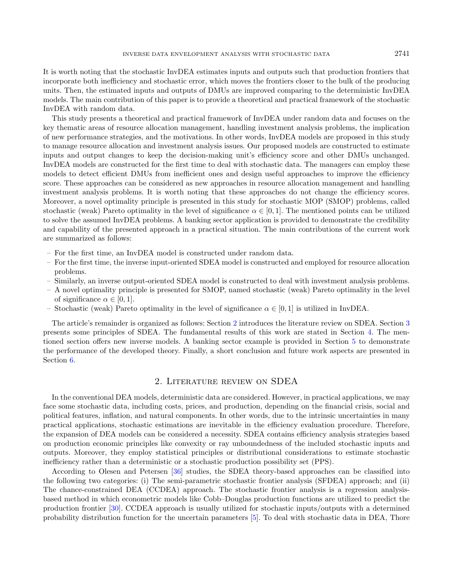It is worth noting that the stochastic InvDEA estimates inputs and outputs such that production frontiers that incorporate both inefficiency and stochastic error, which moves the frontiers closer to the bulk of the producing units. Then, the estimated inputs and outputs of DMUs are improved comparing to the deterministic InvDEA models. The main contribution of this paper is to provide a theoretical and practical framework of the stochastic InvDEA with random data.

This study presents a theoretical and practical framework of InvDEA under random data and focuses on the key thematic areas of resource allocation management, handling investment analysis problems, the implication of new performance strategies, and the motivations. In other words, InvDEA models are proposed in this study to manage resource allocation and investment analysis issues. Our proposed models are constructed to estimate inputs and output changes to keep the decision-making unit's efficiency score and other DMUs unchanged. InvDEA models are constructed for the first time to deal with stochastic data. The managers can employ these models to detect efficient DMUs from inefficient ones and design useful approaches to improve the efficiency score. These approaches can be considered as new approaches in resource allocation management and handling investment analysis problems. It is worth noting that these approaches do not change the efficiency scores. Moreover, a novel optimality principle is presented in this study for stochastic MOP (SMOP) problems, called stochastic (weak) Pareto optimality in the level of significance  $\alpha \in [0,1]$ . The mentioned points can be utilized to solve the assumed InvDEA problems. A banking sector application is provided to demonstrate the credibility and capability of the presented approach in a practical situation. The main contributions of the current work are summarized as follows:

- For the first time, an InvDEA model is constructed under random data.
- For the first time, the inverse input-oriented SDEA model is constructed and employed for resource allocation problems.
- Similarly, an inverse output-oriented SDEA model is constructed to deal with investment analysis problems.
- A novel optimality principle is presented for SMOP, named stochastic (weak) Pareto optimality in the level of significance  $\alpha \in [0, 1]$ .
- Stochastic (weak) Pareto optimality in the level of significance  $\alpha \in [0,1]$  is utilized in InvDEA.

The article's remainder is organized as follows: Section [2](#page-2-0) introduces the literature review on SDEA. Section [3](#page-3-0) presents some principles of SDEA. The fundamental results of this work are stated in Section [4.](#page-6-0) The mentioned section offers new inverse models. A banking sector example is provided in Section [5](#page-13-0) to demonstrate the performance of the developed theory. Finally, a short conclusion and future work aspects are presented in Section [6.](#page-16-0)

#### 2. Literature review on SDEA

<span id="page-2-0"></span>In the conventional DEA models, deterministic data are considered. However, in practical applications, we may face some stochastic data, including costs, prices, and production, depending on the financial crisis, social and political features, inflation, and natural components. In other words, due to the intrinsic uncertainties in many practical applications, stochastic estimations are inevitable in the efficiency evaluation procedure. Therefore, the expansion of DEA models can be considered a necessity. SDEA contains efficiency analysis strategies based on production economic principles like convexity or ray unboundedness of the included stochastic inputs and outputs. Moreover, they employ statistical principles or distributional considerations to estimate stochastic inefficiency rather than a deterministic or a stochastic production possibility set (PPS).

According to Olesen and Petersen [\[36\]](#page-23-10) studies, the SDEA theory-based approaches can be classified into the following two categories: (i) The semi-parametric stochastic frontier analysis (SFDEA) approach; and (ii) The chance-constrained DEA (CCDEA) approach. The stochastic frontier analysis is a regression analysisbased method in which econometric models like Cobb–Douglas production functions are utilized to predict the production frontier [\[30\]](#page-22-16). CCDEA approach is usually utilized for stochastic inputs/outputs with a determined probability distribution function for the uncertain parameters [\[5\]](#page-22-17). To deal with stochastic data in DEA, Thore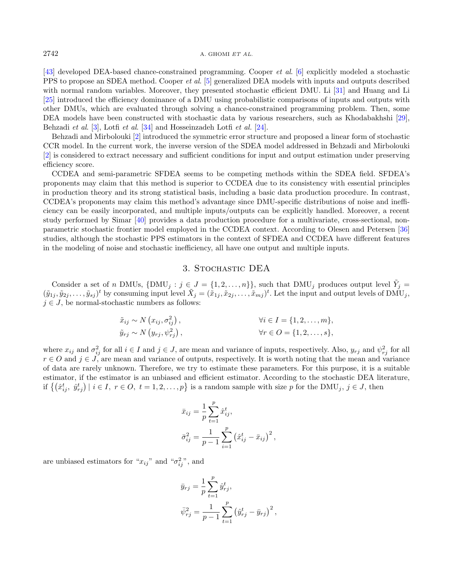[\[43\]](#page-23-11) developed DEA-based chance-constrained programming. Cooper et al. [\[6\]](#page-22-18) explicitly modeled a stochastic PPS to propose an SDEA method. Cooper *et al.* [\[5\]](#page-22-17) generalized DEA models with inputs and outputs described with normal random variables. Moreover, they presented stochastic efficient DMU. Li [\[31\]](#page-22-14) and Huang and Li [\[25\]](#page-22-12) introduced the efficiency dominance of a DMU using probabilistic comparisons of inputs and outputs with other DMUs, which are evaluated through solving a chance-constrained programming problem. Then, some DEA models have been constructed with stochastic data by various researchers, such as Khodabakhshi [\[29\]](#page-22-19), Behzadi et al. [\[3\]](#page-22-5), Lotfi et al. [\[34\]](#page-22-6) and Hosseinzadeh Lotfi et al. [\[24\]](#page-22-20).

Behzadi and Mirbolouki [\[2\]](#page-22-15) introduced the symmetric error structure and proposed a linear form of stochastic CCR model. In the current work, the inverse version of the SDEA model addressed in Behzadi and Mirbolouki [\[2\]](#page-22-15) is considered to extract necessary and sufficient conditions for input and output estimation under preserving efficiency score.

CCDEA and semi-parametric SFDEA seems to be competing methods within the SDEA field. SFDEA's proponents may claim that this method is superior to CCDEA due to its consistency with essential principles in production theory and its strong statistical basis, including a basic data production procedure. In contrast, CCDEA's proponents may claim this method's advantage since DMU-specific distributions of noise and inefficiency can be easily incorporated, and multiple inputs/outputs can be explicitly handled. Moreover, a recent study performed by Simar [\[40\]](#page-23-12) provides a data production procedure for a multivariate, cross-sectional, nonparametric stochastic frontier model employed in the CCDEA context. According to Olesen and Petersen [\[36\]](#page-23-10) studies, although the stochastic PPS estimators in the context of SFDEA and CCDEA have different features in the modeling of noise and stochastic inefficiency, all have one output and multiple inputs.

### 3. Stochastic DEA

<span id="page-3-0"></span>Consider a set of n DMUs,  $\{DMU_j : j \in J = \{1, 2, ..., n\}\}$ , such that DMU<sub>j</sub> produces output level  $\tilde{Y}_j =$  $(\tilde{y}_{1j}, \tilde{y}_{2j}, \ldots, \tilde{y}_{sj})^t$  by consuming input level  $\tilde{X}_j = (\tilde{x}_{1j}, \tilde{x}_{2j}, \ldots, \tilde{x}_{mj})^t$ . Let the input and output levels of DMU<sub>j</sub>,  $j \in J$ , be normal-stochastic numbers as follows:

$$
\tilde{x}_{ij} \sim N(x_{ij}, \sigma_{ij}^2),
$$
  
\n
$$
\tilde{y}_{rj} \sim N(y_{rj}, \psi_{rj}^2),
$$
  
\n
$$
\forall i \in I = \{1, 2, ..., m\},
$$
  
\n
$$
\forall r \in O = \{1, 2, ..., s\},
$$

where  $x_{ij}$  and  $\sigma_{ij}^2$  for all  $i \in I$  and  $j \in J$ , are mean and variance of inputs, respectively. Also,  $y_{rj}$  and  $\psi_{rj}^2$  for all  $r \in O$  and  $j \in J$ , are mean and variance of outputs, respectively. It is worth noting that the mean and variance of data are rarely unknown. Therefore, we try to estimate these parameters. For this purpose, it is a suitable estimator, if the estimator is an unbiased and efficient estimator. According to the stochastic DEA literature, if  $\{(x_{ij}^t, \hat{y}_{rj}^t) \mid i \in I, r \in O, t = 1, 2, \ldots, p\}$  is a random sample with size p for the DMU<sub>j</sub>,  $j \in J$ , then

<span id="page-3-1"></span>
$$
\bar{x}_{ij} = \frac{1}{p} \sum_{t=1}^{p} \hat{x}_{ij}^{t},
$$
  

$$
\bar{\sigma}_{ij}^{2} = \frac{1}{p-1} \sum_{i=1}^{p} (\hat{x}_{ij}^{t} - \bar{x}_{ij})^{2},
$$

are unbiased estimators for " $x_{ij}$ " and " $\sigma_{ij}^2$ ", and

$$
\bar{y}_{rj} = \frac{1}{p} \sum_{t=1}^{p} \hat{y}_{rj}^{t},
$$
  

$$
\bar{\psi}_{rj}^{2} = \frac{1}{p-1} \sum_{t=1}^{p} (\hat{y}_{rj}^{t} - \bar{y}_{rj})^{2},
$$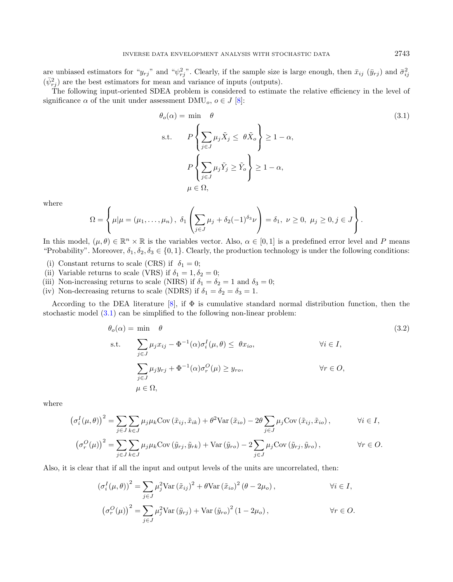are unbiased estimators for " $y_{rj}$ " and " $\psi_{rj}^2$ ". Clearly, if the sample size is large enough, then  $\bar{x}_{ij}$  ( $\bar{y}_{rj}$ ) and  $\bar{\sigma}_{ij}^2$  $(\bar{\psi}_{rj}^2)$  are the best estimators for mean and variance of inputs (outputs).

The following input-oriented SDEA problem is considered to estimate the relative efficiency in the level of significance  $\alpha$  of the unit under assessment DMU<sub>o</sub>,  $o \in J$  [\[8\]](#page-22-21):

$$
\theta_o(\alpha) = \min \quad \theta
$$
\n
$$
\text{s.t.} \qquad P\left\{\sum_{j \in J} \mu_j \tilde{X}_j \le \theta \tilde{X}_o\right\} \ge 1 - \alpha,
$$
\n
$$
P\left\{\sum_{j \in J} \mu_j \tilde{Y}_j \ge \tilde{Y}_o\right\} \ge 1 - \alpha,
$$
\n
$$
\mu \in \Omega,
$$
\n(3.1)

where

$$
\Omega = \left\{ \mu | \mu = (\mu_1, ..., \mu_n), \ \delta_1 \left( \sum_{j \in J} \mu_j + \delta_2 (-1)^{\delta_3} \nu \right) = \delta_1, \ \nu \ge 0, \ \mu_j \ge 0, j \in J \right\}.
$$

In this model,  $(\mu, \theta) \in \mathbb{R}^n \times \mathbb{R}$  is the variables vector. Also,  $\alpha \in [0, 1]$  is a predefined error level and P means "Probability". Moreover,  $\delta_1, \delta_2, \delta_3 \in \{0, 1\}$ . Clearly, the production technology is under the following conditions:

- (i) Constant returns to scale (CRS) if  $\delta_1 = 0$ ;
- (ii) Variable returns to scale (VRS) if  $\delta_1 = 1, \delta_2 = 0$ ;
- (iii) Non-increasing returns to scale (NIRS) if  $\delta_1 = \delta_2 = 1$  and  $\delta_3 = 0$ ;
- (iv) Non-decreasing returns to scale (NDRS) if  $\delta_1 = \delta_2 = \delta_3 = 1$ .

According to the DEA literature [\[8\]](#page-22-21), if  $\Phi$  is cumulative standard normal distribution function, then the stochastic model [\(3.1\)](#page-3-1) can be simplified to the following non-linear problem:

$$
\theta_o(\alpha) = \min \quad \theta
$$
\n
$$
\text{s.t.} \quad \sum_{j \in J} \mu_j x_{ij} - \Phi^{-1}(\alpha) \sigma_i^I(\mu, \theta) \leq \theta x_{io}, \qquad \forall i \in I,
$$
\n
$$
\sum_{j \in J} \mu_j y_{rj} + \Phi^{-1}(\alpha) \sigma_r^O(\mu) \geq y_{ro}, \qquad \forall r \in O,
$$
\n
$$
\mu \in \Omega,
$$
\n(3.2)

where

$$
\left(\sigma_i^I(\mu,\theta)\right)^2 = \sum_{j\in J} \sum_{k\in J} \mu_j \mu_k \text{Cov}\left(\tilde{x}_{ij}, \tilde{x}_{ik}\right) + \theta^2 \text{Var}\left(\tilde{x}_{io}\right) - 2\theta \sum_{j\in J} \mu_j \text{Cov}\left(\tilde{x}_{ij}, \tilde{x}_{io}\right), \qquad \forall i \in I,
$$

$$
\left(\sigma_r^O(\mu)\right)^2 = \sum_{j\in J} \sum_{k\in J} \mu_j \mu_k \text{Cov}\left(\tilde{y}_{rj}, \tilde{y}_{rk}\right) + \text{Var}\left(\tilde{y}_{ro}\right) - 2 \sum_{j\in J} \mu_j \text{Cov}\left(\tilde{y}_{rj}, \tilde{y}_{ro}\right), \qquad \forall r \in O.
$$

Also, it is clear that if all the input and output levels of the units are uncorrelated, then:

$$
\left(\sigma_i^I(\mu,\theta)\right)^2 = \sum_{j\in J} \mu_j^2 \text{Var}\left(\tilde{x}_{ij}\right)^2 + \theta \text{Var}\left(\tilde{x}_{io}\right)^2 \left(\theta - 2\mu_o\right), \qquad \forall i \in I,
$$

$$
\left(\sigma_r^O(\mu)\right)^2 = \sum_{j \in J} \mu_j^2 \text{Var}\left(\tilde{y}_{rj}\right) + \text{Var}\left(\tilde{y}_{ro}\right)^2 \left(1 - 2\mu_o\right), \qquad \forall r \in O.
$$

<span id="page-4-0"></span>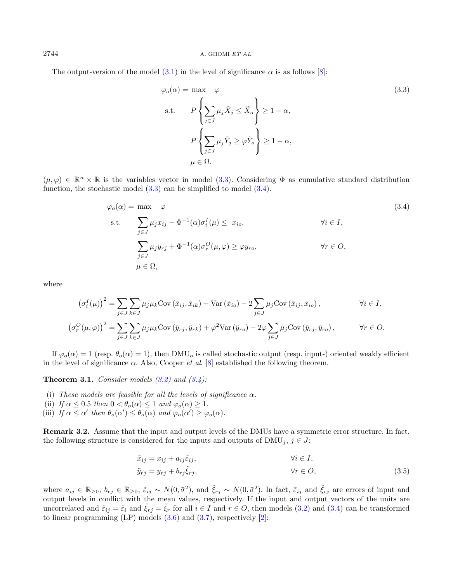#### $2744$  A. GHOMI ET AL.

The output-version of the model  $(3.1)$  in the level of significance  $\alpha$  is as follows [\[8\]](#page-22-21):

<span id="page-5-1"></span><span id="page-5-0"></span>
$$
\varphi_o(\alpha) = \max \varphi
$$
\n
$$
\varphi
$$
\n
$$
\text{s.t.} \qquad P\left\{\sum_{j\in J} \mu_j \tilde{X}_j \le \tilde{X}_o\right\} \ge 1 - \alpha,
$$
\n
$$
P\left\{\sum_{j\in J} \mu_j \tilde{Y}_j \ge \varphi \tilde{Y}_o\right\} \ge 1 - \alpha,
$$
\n
$$
\mu \in \Omega.
$$
\n(3.3)

 $(\mu, \varphi) \in \mathbb{R}^n \times \mathbb{R}$  is the variables vector in model [\(3.3\)](#page-5-0). Considering  $\Phi$  as cumulative standard distribution function, the stochastic model  $(3.3)$  can be simplified to model  $(3.4)$ .

$$
\varphi_o(\alpha) = \max \varphi
$$
\n
$$
\varphi
$$
\n
$$
\text{s.t.} \quad \sum_{j \in J} \mu_j x_{ij} - \Phi^{-1}(\alpha) \sigma_i^I(\mu) \leq x_{io}, \qquad \forall i \in I,
$$
\n
$$
\sum_{j \in J} \mu_j y_{rj} + \Phi^{-1}(\alpha) \sigma_r^O(\mu, \varphi) \geq \varphi y_{ro}, \qquad \forall r \in O,
$$
\n
$$
\mu \in \Omega,
$$
\n(3.4)

where

$$
\left(\sigma_i^I(\mu)\right)^2 = \sum_{j \in J} \sum_{k \in J} \mu_j \mu_k \text{Cov}\left(\tilde{x}_{ij}, \tilde{x}_{ik}\right) + \text{Var}\left(\tilde{x}_{io}\right) - 2\sum_{j \in J} \mu_j \text{Cov}\left(\tilde{x}_{ij}, \tilde{x}_{io}\right), \qquad \forall i \in I,
$$
  

$$
\left(\sigma_r^O(\mu, \varphi)\right)^2 = \sum_{j \in J} \sum_{k \in J} \mu_j \mu_k \text{Cov}\left(\tilde{y}_{rj}, \tilde{y}_{rk}\right) + \varphi^2 \text{Var}\left(\tilde{y}_{ro}\right) - 2\varphi \sum_{j \in J} \mu_j \text{Cov}\left(\tilde{y}_{rj}, \tilde{y}_{ro}\right), \qquad \forall r \in O.
$$

If  $\varphi_o(\alpha) = 1$  (resp.  $\theta_o(\alpha) = 1$ ), then DMU<sub>o</sub> is called stochastic output (resp. input-) oriented weakly efficient in the level of significance  $\alpha$ . Also, Cooper *et al.* [\[8\]](#page-22-21) established the following theorem.

**Theorem 3.1.** Consider models  $(3.2)$  and  $(3.4)$ :

- (i) These models are feasible for all the levels of significance  $\alpha$ .
- (ii) If  $\alpha \leq 0.5$  then  $0 < \theta_o(\alpha) \leq 1$  and  $\varphi_o(\alpha) \geq 1$ .
- (iii) If  $\alpha \leq \alpha'$  then  $\theta_o(\alpha') \leq \theta_o(\alpha)$  and  $\varphi_o(\alpha') \geq \varphi_o(\alpha)$ .

<span id="page-5-2"></span>Remark 3.2. Assume that the input and output levels of the DMUs have a symmetric error structure. In fact, the following structure is considered for the inputs and outputs of  $\text{DMU}_j$ ,  $j \in J$ :

$$
\tilde{x}_{ij} = x_{ij} + a_{ij}\tilde{\varepsilon}_{ij}, \qquad \forall i \in I, \n\tilde{y}_{rj} = y_{rj} + b_{rj}\tilde{\xi}_{rj}, \qquad \forall r \in O,
$$
\n(3.5)

where  $a_{ij} \in \mathbb{R}_{\geq 0}, b_{rj} \in \mathbb{R}_{\geq 0}, \tilde{\varepsilon}_{ij} \sim N(0, \bar{\sigma}^2)$ , and  $\tilde{\xi}_{rj} \sim N(0, \bar{\sigma}^2)$ . In fact,  $\tilde{\varepsilon}_{ij}$  and  $\tilde{\xi}_{rj}$  are errors of input and output levels in conflict with the mean values, respectively. If the input and output vectors of the units are uncorrelated and  $\tilde{\varepsilon}_{ij} = \tilde{\varepsilon}_i$  and  $\xi_{rj} = \xi_r$  for all  $i \in I$  and  $r \in O$ , then models [\(3.2\)](#page-4-0) and [\(3.4\)](#page-5-1) can be transformed to linear programming  $(LP)$  models  $(3.6)$  and  $(3.7)$ , respectively  $[2]$ :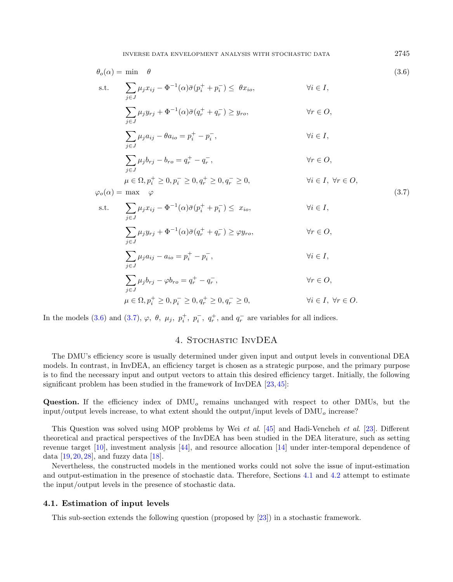$$
\theta_o(\alpha) = \min \theta
$$
\n
$$
\theta_{\text{S}}(1, \alpha) = \min \theta
$$
\n
$$
\theta_{\text{S}}(2, \alpha) = \min \theta
$$
\n
$$
\sum_{j \in J} \mu_j x_{ij} - \Phi^{-1}(\alpha) \bar{\sigma} (p_i^+ + p_i^-) \leq \theta x_{io}, \qquad \forall i \in I,
$$
\n
$$
\sum_{j \in J} \mu_j y_{rj} + \Phi^{-1}(\alpha) \bar{\sigma} (q_r^+ + q_r^-) \geq y_{ro}, \qquad \forall r \in O,
$$
\n
$$
\sum_{j \in J} \mu_j a_{ij} - \theta a_{io} = p_i^+ - p_i^-, \qquad \forall i \in I,
$$
\n
$$
\sum_{j \in J} \mu_j b_{rj} - b_{ro} = q_r^+ - q_r^-, \qquad \forall r \in O,
$$
\n
$$
\varphi_o(\alpha) = \max \varphi
$$
\n
$$
\varphi_o(\alpha) = \max \varphi
$$
\n
$$
\varphi_o(\alpha) = \max \varphi
$$
\n
$$
\varphi_{\text{S}}(1, \alpha) = \sum_{j \in J} \mu_j x_{ij} - \Phi^{-1}(\alpha) \bar{\sigma} (p_i^+ + p_i^-) \leq x_{io}, \qquad \forall i \in I,
$$
\n
$$
\sum_{j \in J} \mu_j y_{rj} + \Phi^{-1}(\alpha) \bar{\sigma} (q_r^+ + q_r^-) \geq \varphi y_{ro}, \qquad \forall r \in O,
$$
\n
$$
\sum_{j \in J} \mu_j a_{ij} - a_{io} = p_i^+ - p_i^-, \qquad \forall i \in I,
$$
\n
$$
\sum_{j \in J} \mu_j b_{rj} - \varphi b_{ro} = q_r^+ - q_r^-, \qquad \forall r \in O,
$$

$$
\mu\in\Omega, p_i^+\geq 0, p_i^-\geq 0, q_r^+\geq 0, q_r^-\geq 0, \qquad \qquad \forall i\in I, \; \forall r\in O.
$$

In the models [\(3.6\)](#page-6-1) and [\(3.7\)](#page-6-2),  $\varphi$ ,  $\theta$ ,  $\mu_j$ ,  $p_i^+$ ,  $p_i^-$ ,  $q_r^+$ , and  $q_r^-$  are variables for all indices.

## 4. Stochastic InvDEA

<span id="page-6-0"></span>The DMU's efficiency score is usually determined under given input and output levels in conventional DEA models. In contrast, in InvDEA, an efficiency target is chosen as a strategic purpose, and the primary purpose is to find the necessary input and output vectors to attain this desired efficiency target. Initially, the following significant problem has been studied in the framework of InvDEA [\[23,](#page-22-8) [45\]](#page-23-2):

**Question.** If the efficiency index of  $\text{DMU}_o$  remains unchanged with respect to other DMUs, but the input/output levels increase, to what extent should the output/input levels of  $\text{DMU}_o$  increase?

This Question was solved using MOP problems by Wei et al. [\[45\]](#page-23-2) and Hadi-Vencheh et al. [\[23\]](#page-22-8). Different theoretical and practical perspectives of the InvDEA has been studied in the DEA literature, such as setting revenue target [\[10\]](#page-22-22), investment analysis [\[44\]](#page-23-13), and resource allocation [\[14\]](#page-22-23) under inter-temporal dependence of data  $[19, 20, 28]$  $[19, 20, 28]$  $[19, 20, 28]$  $[19, 20, 28]$ , and fuzzy data  $[18]$ .

Nevertheless, the constructed models in the mentioned works could not solve the issue of input-estimation and output-estimation in the presence of stochastic data. Therefore, Sections [4.1](#page-6-3) and [4.2](#page-10-0) attempt to estimate the input/output levels in the presence of stochastic data.

#### <span id="page-6-3"></span>4.1. Estimation of input levels

<span id="page-6-4"></span>This sub-section extends the following question (proposed by [\[23\]](#page-22-8)) in a stochastic framework.

<span id="page-6-2"></span><span id="page-6-1"></span>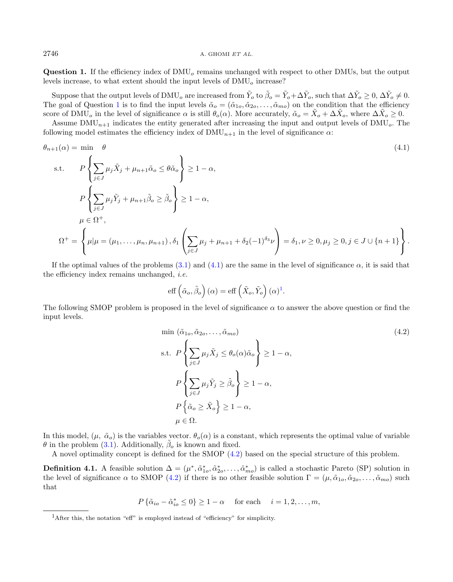$2746$  A. GHOMI ET AL.

**Question 1.** If the efficiency index of  $\text{DMU}_o$  remains unchanged with respect to other DMUs, but the output levels increase, to what extent should the input levels of  $\text{DMU}_o$  increase?

Suppose that the output levels of DMU<sub>o</sub> are increased from  $\tilde{Y}_o$  to  $\tilde{\beta}_o = \tilde{Y}_o + \Delta \tilde{Y}_o$ , such that  $\Delta \tilde{Y}_o \geq 0$ ,  $\Delta \tilde{Y}_o \neq 0$ . The goal of Question [1](#page-6-4) is to find the input levels  $\tilde{\alpha}_o = (\tilde{\alpha}_{1o}, \tilde{\alpha}_{2o}, \ldots, \tilde{\alpha}_{mo})$  on the condition that the efficiency score of DMU<sub>o</sub> in the level of significance  $\alpha$  is still  $\theta_o(\alpha)$ . More accurately,  $\tilde{\alpha}_o = \tilde{X}_o + \Delta \tilde{X}_o$ , where  $\Delta \tilde{X}_o \ge 0$ .

Assume  $\text{DMU}_{n+1}$  indicates the entity generated after increasing the input and output levels of  $\text{DMU}_o$ . The following model estimates the efficiency index of  $\text{DMU}_{n+1}$  in the level of significance  $\alpha$ :

$$
\theta_{n+1}(\alpha) = \min \quad \theta
$$
\n
$$
\text{s.t.} \quad P\left\{\sum_{j\in J} \mu_j \tilde{X}_j + \mu_{n+1} \tilde{\alpha}_o \le \theta \tilde{\alpha}_o\right\} \ge 1 - \alpha,
$$
\n
$$
P\left\{\sum_{j\in J} \mu_j \tilde{Y}_j + \mu_{n+1} \tilde{\beta}_o \ge \tilde{\beta}_o\right\} \ge 1 - \alpha,
$$
\n
$$
\mu \in \Omega^+,
$$
\n
$$
\Omega^+ = \left\{\mu|\mu = (\mu_1, \dots, \mu_n, \mu_{n+1}), \delta_1\left(\sum_{j\in J} \mu_j + \mu_{n+1} + \delta_2(-1)^{\delta_3} \nu\right) = \delta_1, \nu \ge 0, \mu_j \ge 0, j \in J \cup \{n+1\}\right\}.
$$
\n(4.1)

If the optimal values of the problems  $(3.1)$  and  $(4.1)$  are the same in the level of significance  $\alpha$ , it is said that the efficiency index remains unchanged, i.e.

<span id="page-7-2"></span><span id="page-7-0"></span>eff 
$$
(\tilde{\alpha}_o, \tilde{\beta}_o)
$$
  $(\alpha) = \text{eff} \left(\tilde{X}_o, \tilde{Y}_o\right) (\alpha)^1$ .

The following SMOP problem is proposed in the level of significance  $\alpha$  to answer the above question or find the input levels.

$$
\min (\tilde{\alpha}_{1o}, \tilde{\alpha}_{2o}, \dots, \tilde{\alpha}_{mo})
$$
\n
$$
\text{s.t. } P\left\{ \sum_{j \in J} \mu_j \tilde{X}_j \leq \theta_o(\alpha) \tilde{\alpha}_o \right\} \geq 1 - \alpha,
$$
\n
$$
P\left\{ \sum_{j \in J} \mu_j \tilde{Y}_j \geq \tilde{\beta}_o \right\} \geq 1 - \alpha,
$$
\n
$$
P\left\{ \tilde{\alpha}_o \geq \tilde{X}_o \right\} \geq 1 - \alpha,
$$
\n
$$
\mu \in \Omega.
$$
\n
$$
(4.2)
$$

<span id="page-7-1"></span>In this model,  $(\mu, \tilde{\alpha}_o)$  is the variables vector.  $\theta_o(\alpha)$  is a constant, which represents the optimal value of variable  $\theta$  in the problem [\(3.1\)](#page-3-1). Additionally,  $\tilde{\beta}_o$  is known and fixed.

A novel optimality concept is defined for the SMOP [\(4.2\)](#page-7-2) based on the special structure of this problem.

**Definition 4.1.** A feasible solution  $\Delta = (\mu^*, \tilde{\alpha}_{1o}^*, \tilde{\alpha}_{2o}^*, \dots, \tilde{\alpha}_{mo}^*)$  is called a stochastic Pareto (SP) solution in the level of significance  $\alpha$  to SMOP [\(4.2\)](#page-7-2) if there is no other feasible solution  $\Gamma = (\mu, \tilde{\alpha}_{1o}, \tilde{\alpha}_{2o}, \dots, \tilde{\alpha}_{mo})$  such that

$$
P\{\tilde{\alpha}_{io} - \tilde{\alpha}_{io}^* \le 0\} \ge 1 - \alpha \quad \text{for each} \quad i = 1, 2, \dots, m,
$$

<sup>1</sup>After this, the notation "eff" is employed instead of "efficiency" for simplicity.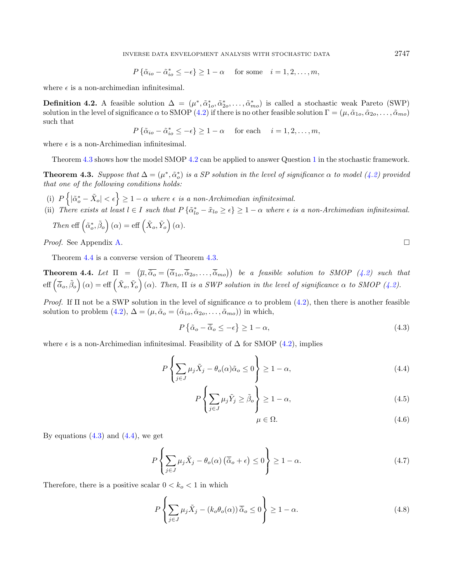$$
P\{\tilde{\alpha}_{io} - \tilde{\alpha}_{io}^* \le -\epsilon\} \ge 1 - \alpha \quad \text{for some} \quad i = 1, 2, \dots, m,
$$

where  $\epsilon$  is a non-archimedian infinitesimal.

**Definition 4.2.** A feasible solution  $\Delta = (\mu^*, \tilde{\alpha}_{1o}^*, \tilde{\alpha}_{2o}^*, \dots, \tilde{\alpha}_{mo}^*)$  is called a stochastic weak Pareto (SWP) solution in the level of significance  $\alpha$  to SMOP [\(4.2\)](#page-7-2) if there is no other feasible solution  $\Gamma = (\mu, \tilde{\alpha}_{1o}, \tilde{\alpha}_{2o}, \ldots, \tilde{\alpha}_{mo})$ such that

$$
P\left\{\tilde{\alpha}_{io}-\tilde{\alpha}_{io}^* \leq -\epsilon\right\} \geq 1-\alpha \quad \text{ for each } \quad i=1,2,\ldots,m,
$$

where  $\epsilon$  is a non-Archimedian infinitesimal.

Theorem [4.3](#page-8-0) shows how the model SMOP [4.2](#page-7-2) can be applied to answer Question [1](#page-6-4) in the stochastic framework.

<span id="page-8-0"></span>**Theorem 4.3.** Suppose that  $\Delta = (\mu^*, \tilde{\alpha}_o^*)$  is a SP solution in the level of significance  $\alpha$  to model [\(4.2\)](#page-7-2) provided that one of the following conditions holds:

- (i)  $P\left\{|\tilde{\alpha}_o^*-\tilde{X}_o|<\epsilon\right\}\geq 1-\alpha$  where  $\epsilon$  is a non-Archimedian infinitesimal.
- (ii) There exists at least  $l \in I$  such that  $P\{\tilde{\alpha}_{lo}^* \tilde{x}_{lo} \geq \epsilon\} \geq 1 \alpha$  where  $\epsilon$  is a non-Archimedian infinitesimal.

Then eff 
$$
(\tilde{\alpha}_o^*, \tilde{\beta}_o)(\alpha) = \text{eff}(\tilde{X}_o, \tilde{Y}_o)(\alpha)
$$
.

Proof. See Appendix [A.](#page-16-1)

Theorem [4.4](#page-8-1) is a converse version of Theorem [4.3.](#page-8-0)

<span id="page-8-1"></span>**Theorem 4.4.** Let  $\Pi = (\overline{\mu}, \overline{\tilde{\alpha}}_o = (\overline{\tilde{\alpha}}_{1o}, \overline{\tilde{\alpha}}_{2o}, \ldots, \overline{\tilde{\alpha}}_{mo}))$  be a feasible solution to SMOP [\(4.2\)](#page-7-2) such that  $\text{eff}\left(\overline{\tilde{\alpha}}_o,\tilde{\beta}_o\right)(\alpha)=\text{eff}\left(\tilde{X}_o,\tilde{Y}_o\right)(\alpha).$  Then,  $\Pi$  is a SWP solution in the level of significance  $\alpha$  to SMOP [\(4.2\)](#page-7-2).

*Proof.* If  $\Pi$  not be a SWP solution in the level of significance  $\alpha$  to problem [\(4.2\)](#page-7-2), then there is another feasible solution to problem [\(4.2\)](#page-7-2),  $\Delta = (\mu, \tilde{\alpha}_o = (\tilde{\alpha}_{1o}, \tilde{\alpha}_{2o}, \dots, \tilde{\alpha}_{mo}))$  in which,

<span id="page-8-2"></span>
$$
P\left\{\tilde{\alpha}_o - \overline{\tilde{\alpha}}_o \le -\epsilon\right\} \ge 1 - \alpha,\tag{4.3}
$$

where  $\epsilon$  is a non-Archimedian infinitesimal. Feasibility of  $\Delta$  for SMOP [\(4.2\)](#page-7-2), implies

$$
P\left\{\sum_{j\in J}\mu_j\tilde{X}_j - \theta_o(\alpha)\tilde{\alpha}_o \le 0\right\} \ge 1 - \alpha,
$$
\n(4.4)

<span id="page-8-6"></span>
$$
P\left\{\sum_{j\in J} \mu_j \tilde{Y}_j \ge \tilde{\beta}_o \right\} \ge 1 - \alpha,\tag{4.5}
$$

$$
\mu \in \Omega. \tag{4.6}
$$

By equations  $(4.3)$  and  $(4.4)$ , we get

$$
P\left\{\sum_{j\in J}\mu_j\tilde{X}_j - \theta_o(\alpha)\left(\overline{\tilde{\alpha}}_o + \epsilon\right) \le 0\right\} \ge 1 - \alpha. \tag{4.7}
$$

Therefore, there is a positive scalar  $0 < k_o < 1$  in which

$$
P\left\{\sum_{j\in J}\mu_j\tilde{X}_j - (k_o\theta_o(\alpha))\overline{\tilde{\alpha}}_o \le 0\right\} \ge 1 - \alpha.
$$
\n(4.8)

<span id="page-8-5"></span><span id="page-8-4"></span><span id="page-8-3"></span>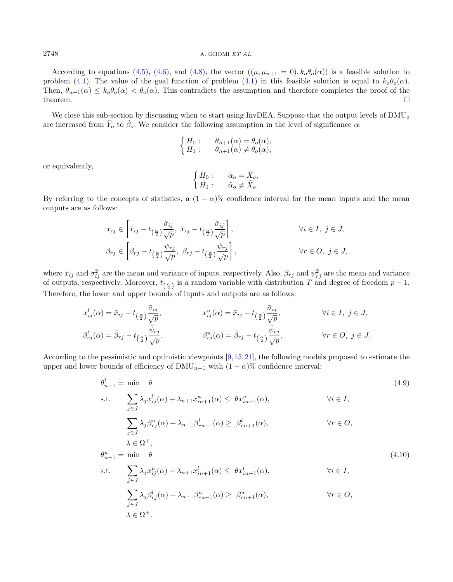According to equations [\(4.5\)](#page-8-4), [\(4.6\)](#page-8-5), and [\(4.8\)](#page-8-6), the vector  $((\mu, \mu_{n+1} = 0), k_o \theta_o(\alpha))$  is a feasible solution to problem [\(4.1\)](#page-7-0). The value of the goal function of problem (4.1) in this feasible solution is equal to  $k_o\theta_o(\alpha)$ . Then,  $\theta_{n+1}(\alpha) \leq k_o \theta_o(\alpha) < \theta_o(\alpha)$ . This contradicts the assumption and therefore completes the proof of the theorem.

We close this sub-section by discussing when to start using InvDEA. Suppose that the output levels of  $\text{DMU}_o$ are increased from  $\tilde{Y}_o$  to  $\tilde{\beta}_o$ . We consider the following assumption in the level of significance  $\alpha$ :

$$
\begin{cases}\nH_0: \quad \theta_{n+1}(\alpha) = \theta_o(\alpha), \\
H_1: \quad \theta_{n+1}(\alpha) \neq \theta_o(\alpha),\n\end{cases}
$$

or equivalently,

$$
\begin{cases}\nH_0: \quad \tilde{\alpha}_o = \tilde{X}_o, \\
H_1: \quad \tilde{\alpha}_o \neq \tilde{X}_o.\n\end{cases}
$$

By referring to the concepts of statistics, a  $(1 - \alpha)$ % confidence interval for the mean inputs and the mean outputs are as follows:

$$
x_{ij} \in \left[\bar{x}_{ij} - t_{\left(\frac{\alpha}{2}\right)} \frac{\bar{\sigma}_{ij}}{\sqrt{p}}, \ \bar{x}_{ij} - t_{\left(\frac{\alpha}{2}\right)} \frac{\bar{\sigma}_{ij}}{\sqrt{p}}\right], \qquad \forall i \in I, \ j \in J,
$$
  

$$
\beta_{rj} \in \left[\bar{\beta}_{rj} - t_{\left(\frac{\alpha}{2}\right)} \frac{\bar{\psi}_{rj}}{\sqrt{p}}, \ \bar{\beta}_{rj} - t_{\left(\frac{\alpha}{2}\right)} \frac{\bar{\psi}_{rj}}{\sqrt{p}}\right], \qquad \forall r \in O, \ j \in J,
$$

where  $\bar{x}_{ij}$  and  $\bar{\sigma}_{ij}^2$  are the mean and variance of inputs, respectively. Also,  $\beta_{rj}$  and  $\psi_{rj}^2$  are the mean and variance of outputs, respectively. Moreover,  $t_{(\frac{\alpha}{2})}$  is a random variable with distribution T and degree of freedom  $p-1$ . Therefore, the lower and upper bounds of inputs and outputs are as follows:

$$
x_{ij}^l(\alpha) = \bar{x}_{ij} - t_{\left(\frac{\alpha}{2}\right)} \frac{\bar{\sigma}_{ij}}{\sqrt{p}}, \qquad x_{ij}^u(\alpha) = \bar{x}_{ij} - t_{\left(\frac{\alpha}{2}\right)} \frac{\bar{\sigma}_{ij}}{\sqrt{p}}, \qquad \forall i \in I, j \in J,
$$
  

$$
\beta_{rj}^l(\alpha) = \bar{\beta}_{rj} - t_{\left(\frac{\alpha}{2}\right)} \frac{\bar{\psi}_{rj}}{\sqrt{p}}, \qquad \beta_{rj}^u(\alpha) = \bar{\beta}_{rj} - t_{\left(\frac{\alpha}{2}\right)} \frac{\bar{\psi}_{rj}}{\sqrt{p}}, \qquad \forall r \in O, j \in J.
$$

According to the pessimistic and optimistic viewpoints [\[9,](#page-22-28)[15,](#page-22-29)[21\]](#page-22-30), the following models proposed to estimate the upper and lower bounds of efficiency of DMU<sub>n+1</sub> with  $(1 - \alpha)$ % confidence interval:

$$
\theta_{n+1}^{l} = \min \quad \theta
$$
\n
$$
\text{s.t.} \quad \sum_{j \in J} \lambda_{j} x_{ij}^{l}(\alpha) + \lambda_{n+1} x_{in+1}^{u}(\alpha) \leq \theta x_{in+1}^{u}(\alpha), \qquad \forall i \in I,
$$
\n
$$
\sum_{j \in J} \lambda_{j} \beta_{rj}^{u}(\alpha) + \lambda_{n+1} \beta_{rn+1}^{l}(\alpha) \geq \beta_{rn+1}^{l}(\alpha), \qquad \forall r \in O,
$$
\n
$$
\lambda \in \Omega^{+},
$$
\n
$$
\theta_{n+1}^{u} = \min \quad \theta
$$
\n
$$
\text{s.t.} \quad \sum_{j \in J} \lambda_{j} x_{ij}^{u}(\alpha) + \lambda_{n+1} x_{in+1}^{l}(\alpha) \leq \theta x_{in+1}^{l}(\alpha), \qquad \forall i \in I,
$$
\n
$$
\sum_{j \in J} \lambda_{j} \beta_{rj}^{l}(\alpha) + \lambda_{n+1} \beta_{rn+1}^{u}(\alpha) \geq \beta_{rn+1}^{u}(\alpha), \qquad \forall r \in O,
$$
\n
$$
\lambda \in \Omega^{+}.
$$
\n
$$
(4.10)
$$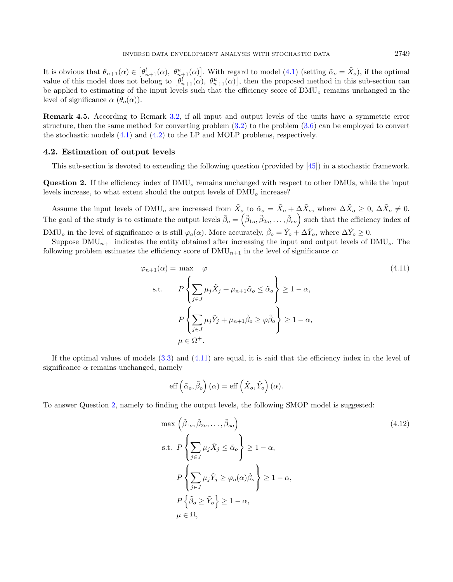It is obvious that  $\theta_{n+1}(\alpha) \in [\theta_{n+1}^l(\alpha), \theta_{n+1}^u(\alpha)]$ . With regard to model [\(4.1\)](#page-7-0) (setting  $\tilde{\alpha}_o = \tilde{X}_o$ ), if the optimal value of this model does not belong to  $\left[\theta_{n+1}^l(\alpha), \theta_{n+1}^u(\alpha)\right]$ , then the proposed method in this sub-section can be applied to estimating of the input levels such that the efficiency score of  $\text{DMU}_o$  remains unchanged in the level of significance  $\alpha$  ( $\theta_o(\alpha)$ ).

Remark 4.5. According to Remark [3.2,](#page-5-2) if all input and output levels of the units have a symmetric error structure, then the same method for converting problem [\(3.2\)](#page-4-0) to the problem [\(3.6\)](#page-6-1) can be employed to convert the stochastic models [\(4.1\)](#page-7-0) and [\(4.2\)](#page-7-2) to the LP and MOLP problems, respectively.

#### <span id="page-10-0"></span>4.2. Estimation of output levels

This sub-section is devoted to extending the following question (provided by [\[45\]](#page-23-2)) in a stochastic framework.

<span id="page-10-2"></span>**Question 2.** If the efficiency index of  $\text{DMU}_o$  remains unchanged with respect to other DMUs, while the input levels increase, to what extent should the output levels of  $\text{DMU}_o$  increase?

Assume the input levels of DMU<sub>o</sub> are increased from  $\tilde{X}_o$  to  $\tilde{\alpha}_o = \tilde{X}_o + \Delta \tilde{X}_o$ , where  $\Delta \tilde{X}_o \geq 0$ ,  $\Delta \tilde{X}_o \neq 0$ . The goal of the study is to estimate the output levels  $\tilde{\beta}_o = (\tilde{\beta}_{1o}, \tilde{\beta}_{2o}, \ldots, \tilde{\beta}_{so})$  such that the efficiency index of DMU<sub>o</sub> in the level of significance  $\alpha$  is still  $\varphi_o(\alpha)$ . More accurately,  $\tilde{\beta}_o = \tilde{Y}_o + \Delta \tilde{Y}_o$ , where  $\Delta \tilde{Y}_o \ge 0$ .

Suppose  $\text{DMU}_{n+1}$  indicates the entity obtained after increasing the input and output levels of  $\text{DMU}_o$ . The following problem estimates the efficiency score of  $\text{DMU}_{n+1}$  in the level of significance  $\alpha$ :

<span id="page-10-1"></span>
$$
\varphi_{n+1}(\alpha) = \max \varphi \tag{4.11}
$$
\n
$$
\text{s.t.} \qquad P\left\{\sum_{j\in J} \mu_j \tilde{X}_j + \mu_{n+1} \tilde{\alpha}_o \le \tilde{\alpha}_o\right\} \ge 1 - \alpha,
$$
\n
$$
P\left\{\sum_{j\in J} \mu_j \tilde{Y}_j + \mu_{n+1} \tilde{\beta}_o \ge \varphi \tilde{\beta}_o\right\} \ge 1 - \alpha,
$$
\n
$$
\mu \in \Omega^+.
$$

If the optimal values of models  $(3.3)$  and  $(4.11)$  are equal, it is said that the efficiency index in the level of significance  $\alpha$  remains unchanged, namely

<span id="page-10-3"></span>
$$
\mathrm{eff}\left(\tilde{\alpha}_o, \tilde{\beta}_o\right)(\alpha) = \mathrm{eff}\left(\tilde{X}_o, \tilde{Y}_o\right)(\alpha).
$$

To answer Question [2,](#page-10-2) namely to finding the output levels, the following SMOP model is suggested:

$$
\max\left(\tilde{\beta}_{1o}, \tilde{\beta}_{2o}, \dots, \tilde{\beta}_{so}\right)
$$
\n
$$
\text{s.t. } P\left\{\sum_{j \in J} \mu_j \tilde{X}_j \leq \tilde{\alpha}_o\right\} \geq 1 - \alpha,
$$
\n
$$
P\left\{\sum_{j \in J} \mu_j \tilde{Y}_j \geq \varphi_o(\alpha)\tilde{\beta}_o\right\} \geq 1 - \alpha,
$$
\n
$$
P\left\{\tilde{\beta}_o \geq \tilde{Y}_o\right\} \geq 1 - \alpha,
$$
\n
$$
\mu \in \Omega,
$$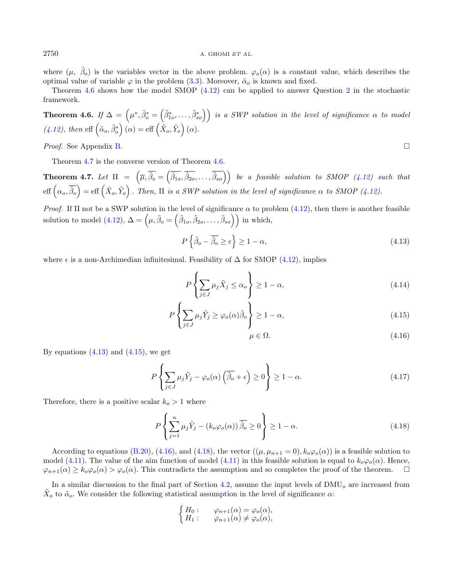where  $(\mu, \tilde{\beta}_o)$  is the variables vector in the above problem.  $\varphi_o(\alpha)$  is a constant value, which describes the optimal value of variable  $\varphi$  in the problem [\(3.3\)](#page-5-0). Moreover,  $\tilde{\alpha}_o$  is known and fixed.

Theorem [4.6](#page-11-0) shows how the model SMOP [\(4.12\)](#page-10-3) can be applied to answer Question [2](#page-10-2) in the stochastic framework.

<span id="page-11-0"></span>**Theorem 4.6.** If  $\Delta = (\mu^*, \tilde{\beta}^*_o = (\tilde{\beta}^*_{1o}, \ldots, \tilde{\beta}^*_{so}))$  is a SWP solution in the level of significance  $\alpha$  to model  $(4.12)$ , then eff  $(\tilde{\alpha}_o, \tilde{\beta}_o^*) (\alpha) = \text{eff} \left( \tilde{X}_o, \tilde{Y}_o \right) (\alpha)$ .

Proof. See Appendix [B.](#page-19-0)

Theorem [4.7](#page-11-1) is the converse version of Theorem [4.6.](#page-11-0)

<span id="page-11-1"></span>**Theorem 4.7.** Let  $\Pi = (\overline{\mu}, \overline{\tilde{\beta}_0} = (\overline{\tilde{\beta}_{1o}}, \overline{\tilde{\beta}_{2o}}, \ldots, \overline{\tilde{\beta}_{so}}))$  be a feasible solution to SMOP [\(4.12\)](#page-10-3) such that  $\text{eff}\left(\alpha_o,\overline{\tilde{\beta}_o}\right) = \text{eff}\left(\tilde{X}_o,\tilde{Y}_o\right)$ . Then,  $\Pi$  is a SWP solution in the level of significance  $\alpha$  to SMOP [\(4.12\)](#page-10-3).

*Proof.* If  $\Pi$  not be a SWP solution in the level of significance  $\alpha$  to problem [\(4.12\)](#page-10-3), then there is another feasible solution to model [\(4.12\)](#page-10-3),  $\Delta = (\mu, \tilde{\beta}_o = (\tilde{\beta}_{1o}, \tilde{\beta}_{2o}, \dots, \tilde{\beta}_{so}))$  in which,

<span id="page-11-2"></span>
$$
P\left\{\tilde{\beta}_o - \overline{\tilde{\beta}_o} \ge \epsilon\right\} \ge 1 - \alpha,\tag{4.13}
$$

where  $\epsilon$  is a non-Archimedian infinitesimal. Feasibility of  $\Delta$  for SMOP [\(4.12\)](#page-10-3), implies

<span id="page-11-5"></span>
$$
P\left\{\sum_{j\in J} \mu_j \tilde{X}_j \le \alpha_o \right\} \ge 1 - \alpha,\tag{4.14}
$$

$$
P\left\{\sum_{j\in J} \mu_j \tilde{Y}_j \ge \varphi_o(\alpha)\tilde{\beta}_o\right\} \ge 1-\alpha,\tag{4.15}
$$

$$
\mu \in \Omega. \tag{4.16}
$$

By equations  $(4.13)$  and  $(4.15)$ , we get

$$
P\left\{\sum_{j\in J}\mu_j\tilde{Y}_j - \varphi_o(\alpha)\left(\overline{\tilde{\beta}_o} + \epsilon\right) \ge 0\right\} \ge 1 - \alpha. \tag{4.17}
$$

Therefore, there is a positive scalar  $k_o > 1$  where

$$
P\left\{\sum_{j=1}^{n} \mu_j \tilde{Y}_j - (k_o \varphi_o(\alpha)) \overline{\tilde{\beta}_o} \ge 0 \right\} \ge 1 - \alpha.
$$
 (4.18)

According to equations [\(B.20\)](#page-20-0), [\(4.16\)](#page-11-4), and [\(4.18\)](#page-11-5), the vector  $((\mu, \mu_{n+1} = 0), k_o\varphi_o(\alpha))$  is a feasible solution to model [\(4.11\)](#page-10-1). The value of the aim function of model (4.11) in this feasible solution is equal to  $k_o\varphi_o(\alpha)$ . Hence,  $\varphi_{n+1}(\alpha) \geq k_o \varphi_o(\alpha) > \varphi_o(\alpha)$ . This contradicts the assumption and so completes the proof of the theorem.  $\square$ 

In a similar discussion to the final part of Section [4.2,](#page-10-0) assume the input levels of  $\text{DMU}_o$  are increased from  $\tilde{X}_o$  to  $\tilde{\alpha}_o$ . We consider the following statistical assumption in the level of significance  $\alpha$ :

$$
\begin{cases}\nH_0: \varphi_{n+1}(\alpha) = \varphi_o(\alpha), \\
H_1: \varphi_{n+1}(\alpha) \neq \varphi_o(\alpha),\n\end{cases}
$$

<span id="page-11-4"></span><span id="page-11-3"></span>
$$
\Box
$$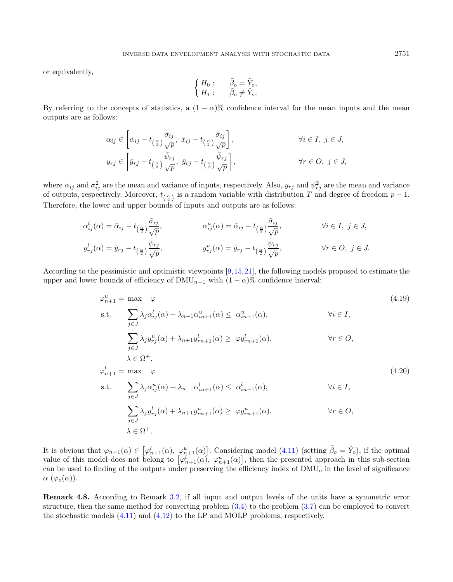or equivalently,

$$
\begin{cases}\nH_0: \quad \tilde{\beta}_o = \tilde{Y}_o, \\
H_1: \quad \tilde{\beta}_o \neq \tilde{Y}_o.\n\end{cases}
$$

By referring to the concepts of statistics, a  $(1 - \alpha)$ % confidence interval for the mean inputs and the mean outputs are as follows:

$$
\alpha_{ij} \in \left[ \bar{\alpha}_{ij} - t_{\left(\frac{\alpha}{2}\right)} \frac{\bar{\sigma}_{ij}}{\sqrt{p}}, \ \bar{x}_{ij} - t_{\left(\frac{\alpha}{2}\right)} \frac{\bar{\sigma}_{ij}}{\sqrt{p}} \right], \qquad \forall i \in I, \ j \in J,
$$
  

$$
y_{rj} \in \left[ \bar{y}_{rj} - t_{\left(\frac{\alpha}{2}\right)} \frac{\bar{\psi}_{rj}}{\sqrt{p}}, \ \bar{y}_{rj} - t_{\left(\frac{\alpha}{2}\right)} \frac{\bar{\psi}_{rj}}{\sqrt{p}} \right], \qquad \forall r \in O, \ j \in J,
$$

where  $\bar{\alpha}_{ij}$  and  $\bar{\sigma}_{ij}^2$  are the mean and variance of inputs, respectively. Also,  $\bar{y}_{rj}$  and  $\bar{\psi}_{rj}^2$  are the mean and variance of outputs, respectively. Moreover,  $t_{(\frac{\alpha}{2})}$  is a random variable with distribution T and degree of freedom  $p-1$ . Therefore, the lower and upper bounds of inputs and outputs are as follows:

$$
\alpha_{ij}^l(\alpha) = \bar{\alpha}_{ij} - t_{\left(\frac{\alpha}{2}\right)} \frac{\bar{\sigma}_{ij}}{\sqrt{p}}, \qquad \alpha_{ij}^u(\alpha) = \bar{\alpha}_{ij} - t_{\left(\frac{\alpha}{2}\right)} \frac{\bar{\sigma}_{ij}}{\sqrt{p}}, \qquad \forall i \in I, j \in J,
$$
  

$$
y_{rj}^l(\alpha) = \bar{y}_{rj} - t_{\left(\frac{\alpha}{2}\right)} \frac{\bar{\psi}_{rj}}{\sqrt{p}}, \qquad \forall r \in O, j \in J.
$$

According to the pessimistic and optimistic viewpoints [\[9,](#page-22-28)[15,](#page-22-29)[21\]](#page-22-30), the following models proposed to estimate the upper and lower bounds of efficiency of  $\text{DMU}_{n+1}$  with  $(1 - \alpha)\%$  confidence interval:

$$
\varphi_{n+1}^{u} = \max \varphi
$$
\n(4.19)  
\ns.t. 
$$
\sum_{j \in J} \lambda_{j} \alpha_{ij}^{l}(\alpha) + \lambda_{n+1} \alpha_{in+1}^{u}(\alpha) \leq \alpha_{in+1}^{u}(\alpha), \qquad \forall i \in I,
$$
\n
$$
\sum_{j \in J} \lambda_{j} y_{rj}^{u}(\alpha) + \lambda_{n+1} y_{rn+1}^{l}(\alpha) \geq \varphi y_{rn+1}^{l}(\alpha), \qquad \forall r \in O,
$$
\n
$$
\lambda \in \Omega^{+},
$$
\n
$$
\varphi_{n+1}^{l} = \max \varphi
$$
\n(4.20)  
\ns.t. 
$$
\sum \lambda_{j} \alpha_{ij}^{u}(\alpha) + \lambda_{n+1} \alpha_{in+1}^{l}(\alpha) \leq \alpha_{in+1}^{l}(\alpha), \qquad \forall i \in I,
$$

$$
\sum_{j \in J} \lambda_j y_{rj}^l(\alpha) + \lambda_{n+1} y_{rn+1}^u(\alpha) \ge \omega_{in+1}(\alpha), \qquad \forall r \in O,
$$
  

$$
\sum_{j \in J} \lambda_j y_{rj}^l(\alpha) + \lambda_{n+1} y_{rn+1}^u(\alpha) \ge \varphi y_{rn+1}^u(\alpha), \qquad \forall r \in O,
$$
  

$$
\lambda \in \Omega^+.
$$

It is obvious that  $\varphi_{n+1}(\alpha) \in [\varphi_{n+1}^l(\alpha), \varphi_{n+1}^u(\alpha)]$ . Considering model [\(4.11\)](#page-10-1) (setting  $\tilde{\beta}_o = \tilde{Y}_o$ ), if the optimal value of this model does not belong to  $[\varphi_{n+1}^l(\alpha), \varphi_{n+1}^u(\alpha)]$ , then the presented approach in this sub-section can be used to finding of the outputs under preserving the efficiency index of  $\text{DMU}_o$  in the level of significance  $\alpha$  ( $\varphi_o(\alpha)$ ).

Remark 4.8. According to Remark [3.2,](#page-5-2) if all input and output levels of the units have a symmetric error structure, then the same method for converting problem [\(3.4\)](#page-5-1) to the problem [\(3.7\)](#page-6-2) can be employed to convert the stochastic models [\(4.11\)](#page-10-1) and [\(4.12\)](#page-10-3) to the LP and MOLP problems, respectively.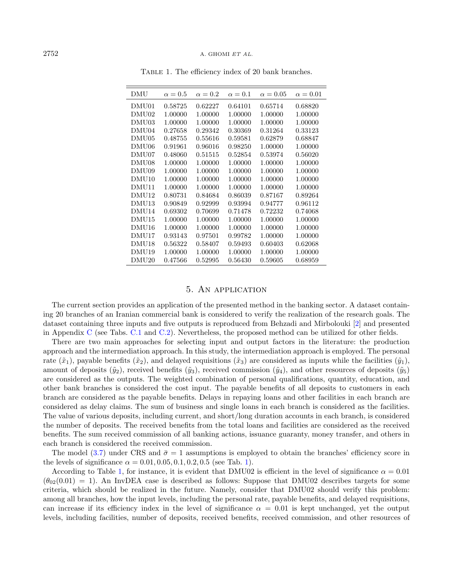#### $2752$  A. GHOMI ET AL.

| DMU               | $\alpha = 0.5$ | $\alpha = 0.2$ | $\alpha=0.1$ | $\alpha = 0.05$ | $\alpha = 0.01$ |
|-------------------|----------------|----------------|--------------|-----------------|-----------------|
| DMU01             | 0.58725        | 0.62227        | 0.64101      | 0.65714         | 0.68820         |
| DMU <sub>02</sub> | 1.00000        | 1.00000        | 1.00000      | 1.00000         | 1.00000         |
| DMU03             | 1.00000        | 1.00000        | 1.00000      | 1.00000         | 1.00000         |
| DMU04             | 0.27658        | 0.29342        | 0.30369      | 0.31264         | 0.33123         |
| DMU <sub>05</sub> | 0.48755        | 0.55616        | 0.59581      | 0.62879         | 0.68847         |
| DMU <sub>06</sub> | 0.91961        | 0.96016        | 0.98250      | 1.00000         | 1.00000         |
| DMU07             | 0.48060        | 0.51515        | 0.52854      | 0.53974         | 0.56020         |
| DMU08             | 1.00000        | 1.00000        | 1.00000      | 1.00000         | 1.00000         |
| DMU09             | 1.00000        | 1.00000        | 1.00000      | 1.00000         | 1.00000         |
| DMU10             | 1.00000        | 1.00000        | 1.00000      | 1.00000         | 1.00000         |
| DMU11             | 1.00000        | 1.00000        | 1.00000      | 1.00000         | 1.00000         |
| DMU <sub>12</sub> | 0.80731        | 0.84684        | 0.86039      | 0.87167         | 0.89264         |
| DMU <sub>13</sub> | 0.90849        | 0.92999        | 0.93994      | 0.94777         | 0.96112         |
| DMU14             | 0.69302        | 0.70699        | 0.71478      | 0.72232         | 0.74068         |
| DMU15             | 1.00000        | 1.00000        | 1.00000      | 1.00000         | 1.00000         |
| DMU16             | 1.00000        | 1.00000        | 1.00000      | 1.00000         | 1.00000         |
| DMU17             | 0.93143        | 0.97501        | 0.99782      | 1.00000         | 1.00000         |
| DMU <sub>18</sub> | 0.56322        | 0.58407        | 0.59493      | 0.60403         | 0.62068         |
| DMU <sub>19</sub> | 1.00000        | 1.00000        | 1.00000      | 1.00000         | 1.00000         |
| DMU20             | 0.47566        | 0.52995        | 0.56430      | 0.59605         | 0.68959         |

<span id="page-13-1"></span>Table 1. The efficiency index of 20 bank branches.

## 5. An application

<span id="page-13-0"></span>The current section provides an application of the presented method in the banking sector. A dataset containing 20 branches of an Iranian commercial bank is considered to verify the realization of the research goals. The dataset containing three inputs and five outputs is reproduced from Behzadi and Mirbolouki [\[2\]](#page-22-15) and presented in Appendix [C](#page-21-0) (see Tabs. [C.1](#page-21-1) and [C.2\)](#page-21-2). Nevertheless, the proposed method can be utilized for other fields.

There are two main approaches for selecting input and output factors in the literature: the production approach and the intermediation approach. In this study, the intermediation approach is employed. The personal rate  $(\tilde{x}_1)$ , payable benefits  $(\tilde{x}_2)$ , and delayed requisitions  $(\tilde{x}_3)$  are considered as inputs while the facilities  $(\tilde{y}_1)$ , amount of deposits  $(\tilde{y}_2)$ , received benefits  $(\tilde{y}_3)$ , received commission  $(\tilde{y}_4)$ , and other resources of deposits  $(\tilde{y}_5)$ are considered as the outputs. The weighted combination of personal qualifications, quantity, education, and other bank branches is considered the cost input. The payable benefits of all deposits to customers in each branch are considered as the payable benefits. Delays in repaying loans and other facilities in each branch are considered as delay claims. The sum of business and single loans in each branch is considered as the facilities. The value of various deposits, including current, and short/long duration accounts in each branch, is considered the number of deposits. The received benefits from the total loans and facilities are considered as the received benefits. The sum received commission of all banking actions, issuance guaranty, money transfer, and others in each branch is considered the received commission.

The model [\(3.7\)](#page-6-2) under CRS and  $\bar{\sigma} = 1$  assumptions is employed to obtain the branches' efficiency score in the levels of significance  $\alpha = 0.01, 0.05, 0.1, 0.2, 0.5$  (see Tab. [1\)](#page-13-1).

According to Table [1,](#page-13-1) for instance, it is evident that DMU02 is efficient in the level of significance  $\alpha = 0.01$  $(\theta_{02}(0.01) = 1)$ . An InvDEA case is described as follows: Suppose that DMU02 describes targets for some criteria, which should be realized in the future. Namely, consider that DMU02 should verify this problem: among all branches, how the input levels, including the personal rate, payable benefits, and delayed requisitions, can increase if its efficiency index in the level of significance  $\alpha = 0.01$  is kept unchanged, yet the output levels, including facilities, number of deposits, received benefits, received commission, and other resources of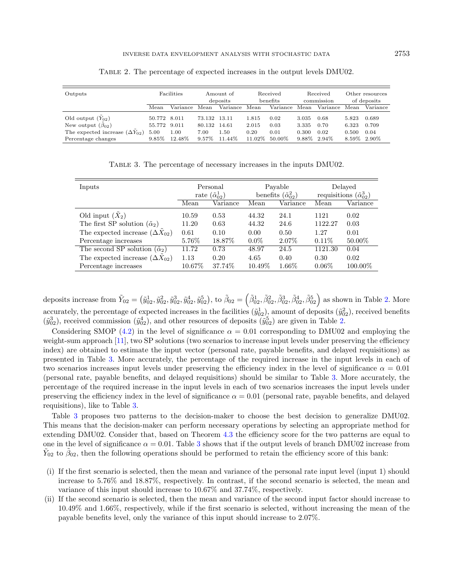| Outputs                                 | <b>Facilities</b> |          | Amount of<br>deposits |          | Received<br>benefits |          | Received<br>commission |          | Other resources<br>of deposits |          |
|-----------------------------------------|-------------------|----------|-----------------------|----------|----------------------|----------|------------------------|----------|--------------------------------|----------|
|                                         | Mean              | Variance | Mean                  | Variance | Mean                 | Variance | Mean                   | Variance | Mean                           | Variance |
| Old output $(Y_{02})$                   | 50.772 8.011      |          | 73.132 13.11          |          | 1.815                | 0.02     | 3.035                  | 0.68     | 5.823                          | 0.689    |
| New output $(\beta_{02})$               | 55.772 9.011      |          | 80.132 14.61          |          | 2.015                | 0.03     | 3.335                  | 0.70     | 6.323                          | 0.709    |
| The expected increase $(\Delta Y_{02})$ | 5.00              | 1.00     | 7.00                  | 1.50     | 0.20                 | 0.01     | 0.300                  | 0.02     | 0.500                          | 0.04     |
| Percentage changes                      | $9.85\%$          | 12.48%   | $9.57\%$              | 11.44%   | 11.02%               | 50.00%   | 9.88%                  | 2.94%    | 8.59%                          | 2.90%    |

<span id="page-14-1"></span><span id="page-14-0"></span>Table 2. The percentage of expected increases in the output levels DMU02.

Table 3. The percentage of necessary increases in the inputs DMU02.

| Inputs                                      |           | Personal<br>rate $(\tilde{\alpha}_{02}^1)$ |         | Payable<br>benefits $(\tilde{\alpha}_{02}^2)$ |          | Delayed<br>requisitions $(\tilde{\alpha}_{02}^3)$ |  |
|---------------------------------------------|-----------|--------------------------------------------|---------|-----------------------------------------------|----------|---------------------------------------------------|--|
|                                             | Mean      | Variance                                   | Mean    | Variance                                      | Mean     | Variance                                          |  |
| Old input $(X_2)$                           | 10.59     | 0.53                                       | 44.32   | 24.1                                          | 1121     | 0.02                                              |  |
| The first SP solution $(\tilde{\alpha}_2)$  | 11.20     | 0.63                                       | 44.32   | 24.6                                          | 1122.27  | 0.03                                              |  |
| The expected increase $(\Delta X_{02})$     | 0.61      | 0.10                                       | 0.00    | 0.50                                          | 1.27     | 0.01                                              |  |
| Percentage increases                        | 5.76%     | 18.87\%                                    | $0.0\%$ | 2.07%                                         | $0.11\%$ | 50.00%                                            |  |
| The second SP solution $(\tilde{\alpha}_2)$ | 11.72     | 0.73                                       | 48.97   | 24.5                                          | 1121.30  | 0.04                                              |  |
| The expected increase $(\Delta X_{02})$     | 1.13      | 0.20                                       | 4.65    | 0.40                                          | 0.30     | 0.02                                              |  |
| Percentage increases                        | $10.67\%$ | 37.74%                                     | 10.49%  | 1.66%                                         | $0.06\%$ | 100.00%                                           |  |

deposits increase from  $\tilde{Y}_{02} = (\tilde{y}_{02}^1, \tilde{y}_{02}^2, \tilde{y}_{02}^3, \tilde{y}_{02}^4, \tilde{y}_{02}^5)$ , to  $\tilde{\beta}_{02} = (\tilde{\beta}_{02}^1, \tilde{\beta}_{02}^2, \tilde{\beta}_{02}^3, \tilde{\beta}_{02}^4, \tilde{\beta}_{02}^5)$  as shown in Table [2.](#page-14-0) More accurately, the percentage of expected increases in the facilities  $(\tilde{y}_{02}^1)$ , amount of deposits  $(\tilde{y}_{02}^2)$ , received benefits  $(\tilde{y}_{02}^3)$ , received commission  $(\tilde{y}_{02}^4)$ , and other resources of deposits  $(\tilde{y}_{02}^5)$  are given in Table [2.](#page-14-0)

Considering SMOP [\(4.2\)](#page-7-2) in the level of significance  $\alpha = 0.01$  corresponding to DMU02 and employing the weight-sum approach [\[11\]](#page-22-31), two SP solutions (two scenarios to increase input levels under preserving the efficiency index) are obtained to estimate the input vector (personal rate, payable benefits, and delayed requisitions) as presented in Table [3.](#page-14-1) More accurately, the percentage of the required increase in the input levels in each of two scenarios increases input levels under preserving the efficiency index in the level of significance  $\alpha = 0.01$ (personal rate, payable benefits, and delayed requisitions) should be similar to Table [3.](#page-14-1) More accurately, the percentage of the required increase in the input levels in each of two scenarios increases the input levels under preserving the efficiency index in the level of significance  $\alpha = 0.01$  (personal rate, payable benefits, and delayed requisitions), like to Table [3.](#page-14-1)

Table [3](#page-14-1) proposes two patterns to the decision-maker to choose the best decision to generalize DMU02. This means that the decision-maker can perform necessary operations by selecting an appropriate method for extending DMU02. Consider that, based on Theorem [4.3](#page-8-0) the efficiency score for the two patterns are equal to one in the level of significance  $\alpha = 0.01$ . Table [3](#page-14-1) shows that if the output levels of branch DMU02 increase from  $\tilde{Y}_{02}$  to  $\tilde{\beta}_{02}$ , then the following operations should be performed to retain the efficiency score of this bank:

- (i) If the first scenario is selected, then the mean and variance of the personal rate input level (input 1) should increase to 5.76% and 18.87%, respectively. In contrast, if the second scenario is selected, the mean and variance of this input should increase to 10.67% and 37.74%, respectively.
- (ii) If the second scenario is selected, then the mean and variance of the second input factor should increase to 10.49% and 1.66%, respectively, while if the first scenario is selected, without increasing the mean of the payable benefits level, only the variance of this input should increase to 2.07%.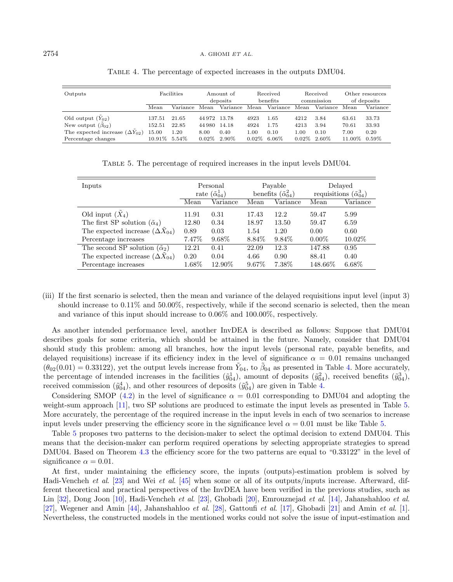| Outputs                                 | <b>Facilities</b> |          | Amount of<br>deposits |          | Received<br>benefits |          | Received<br>commission |          | Other resources<br>of deposits |          |
|-----------------------------------------|-------------------|----------|-----------------------|----------|----------------------|----------|------------------------|----------|--------------------------------|----------|
|                                         | Mean              | Variance | Mean                  | Variance | Mean                 | Variance | Mean                   | Variance | Mean                           | Variance |
| Old output $(Y_{02})$                   | 137.51            | 21.65    | 44 972                | 13.78    | 4923                 | 1.65     | 4212                   | 3.84     | 63.61                          | 33.73    |
| New output $(\beta_{02})$               | 152.51            | 22.85    | 44 980                | 14.18    | 4924                 | 1.75     | 4213                   | 3.94     | 70.61                          | 33.93    |
| The expected increase $(\Delta Y_{02})$ | 15.00             | 1.20     | 8.00                  | 0.40     | 1.00                 | 0.10     | $1.00\,$               | 0.10     | 7.00                           | 0.20     |
| Percentage changes                      | $10.91\%$         | 5.54%    | $0.02\%$              | 2.90%    | $0.02\%$             | $6.06\%$ | $0.02\%$ 2.60%         |          | 11.00%                         | $0.59\%$ |

<span id="page-15-1"></span><span id="page-15-0"></span>Table 4. The percentage of expected increases in the outputs DMU04.

Table 5. The percentage of required increases in the input levels DMU04.

| Inputs                                      | Personal<br>rate $(\tilde{\alpha}_{04}^1)$ |           |          | Payable<br>benefits $(\tilde{\alpha}_{04}^2)$ | Delayed<br>requisitions $(\tilde{\alpha}_{04}^3)$ |          |  |
|---------------------------------------------|--------------------------------------------|-----------|----------|-----------------------------------------------|---------------------------------------------------|----------|--|
|                                             | Mean                                       | Variance  | Mean     | Variance                                      | Mean                                              | Variance |  |
| Old input $(X_4)$                           | 11.91                                      | 0.31      | 17.43    | 12.2                                          | 59.47                                             | 5.99     |  |
| The first SP solution $(\tilde{\alpha}_4)$  | 12.80                                      | 0.34      | 18.97    | 13.50                                         | 59.47                                             | 6.59     |  |
| The expected increase $(\Delta X_{04})$     | 0.89                                       | 0.03      | 1.54     | 1.20                                          | 0.00                                              | 0.60     |  |
| Percentage increases                        | 7.47\%                                     | 9.68%     | 8.84\%   | $9.84\%$                                      | $0.00\%$                                          | 10.02\%  |  |
| The second SP solution $(\tilde{\alpha}_2)$ | 12.21                                      | 0.41      | 22.09    | 12.3                                          | 147.88                                            | 0.95     |  |
| The expected increase $(\Delta X_{04})$     | 0.20                                       | 0.04      | 4.66     | 0.90                                          | 88.41                                             | 0.40     |  |
| Percentage increases                        | $1.68\%$                                   | $12.90\%$ | $9.67\%$ | 7.38%                                         | $148.66\%$                                        | $6.68\%$ |  |

(iii) If the first scenario is selected, then the mean and variance of the delayed requisitions input level (input 3) should increase to 0.11% and 50.00%, respectively, while if the second scenario is selected, then the mean and variance of this input should increase to 0.06% and 100.00%, respectively.

As another intended performance level, another InvDEA is described as follows: Suppose that DMU04 describes goals for some criteria, which should be attained in the future. Namely, consider that DMU04 should study this problem: among all branches, how the input levels (personal rate, payable benefits, and delayed requisitions) increase if its efficiency index in the level of significance  $\alpha = 0.01$  remains unchanged  $(\theta_{02}(0.01) = 0.33122)$ , yet the output levels increase from  $\tilde{Y}_{04}$ , to  $\tilde{\beta}_{04}$  as presented in Table [4.](#page-15-0) More accurately, the percentage of intended increases in the facilities  $(\tilde{y}_{04}^1)$ , amount of deposits  $(\tilde{y}_{04}^2)$ , received benefits  $(\tilde{y}_{04}^3)$ , received commission  $(\tilde{y}_{04}^4)$ , and other resources of deposits  $(\tilde{y}_{04}^5)$  are given in Table [4.](#page-15-0)

Considering SMOP [\(4.2\)](#page-7-2) in the level of significance  $\alpha = 0.01$  corresponding to DMU04 and adopting the weight-sum approach [\[11\]](#page-22-31), two SP solutions are produced to estimate the input levels as presented in Table [5.](#page-15-1) More accurately, the percentage of the required increase in the input levels in each of two scenarios to increase input levels under preserving the efficiency score in the significance level  $\alpha = 0.01$  must be like Table [5.](#page-15-1)

Table [5](#page-15-1) proposes two patterns to the decision-maker to select the optimal decision to extend DMU04. This means that the decision-maker can perform required operations by selecting appropriate strategies to spread DMU04. Based on Theorem [4.3](#page-8-0) the efficiency score for the two patterns are equal to "0.33122" in the level of significance  $\alpha = 0.01$ .

At first, under maintaining the efficiency score, the inputs (outputs)-estimation problem is solved by Hadi-Vencheh et al. [\[23\]](#page-22-8) and Wei et al. [\[45\]](#page-23-2) when some or all of its outputs/inputs increase. Afterward, different theoretical and practical perspectives of the InvDEA have been verified in the previous studies, such as Lin [\[32\]](#page-22-32), Dong Joon [\[10\]](#page-22-22), Hadi-Vencheh et al. [\[23\]](#page-22-8), Ghobadi [\[20\]](#page-22-25), Emrouznejad et al. [\[14\]](#page-22-23), Jahanshahloo et al. [\[27\]](#page-22-33), Wegener and Amin [\[44\]](#page-23-13), Jahanshahloo et al. [\[28\]](#page-22-26), Gattoufi et al. [\[17\]](#page-22-9), Ghobadi [\[21\]](#page-22-30) and Amin et al. [\[1\]](#page-22-10). Nevertheless, the constructed models in the mentioned works could not solve the issue of input-estimation and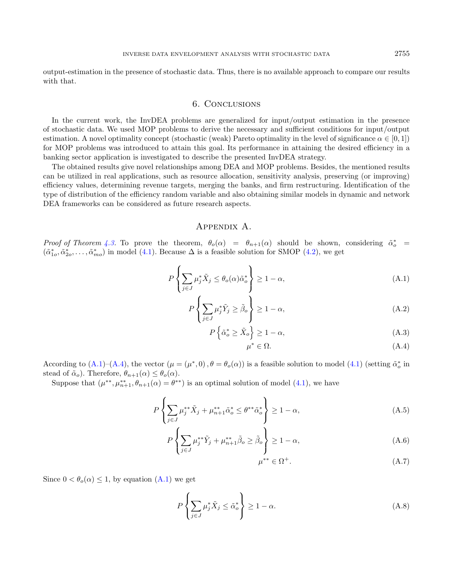output-estimation in the presence of stochastic data. Thus, there is no available approach to compare our results with that.

## 6. Conclusions

<span id="page-16-0"></span>In the current work, the InvDEA problems are generalized for input/output estimation in the presence of stochastic data. We used MOP problems to derive the necessary and sufficient conditions for input/output estimation. A novel optimality concept (stochastic (weak) Pareto optimality in the level of significance  $\alpha \in [0,1]$ ) for MOP problems was introduced to attain this goal. Its performance in attaining the desired efficiency in a banking sector application is investigated to describe the presented InvDEA strategy.

The obtained results give novel relationships among DEA and MOP problems. Besides, the mentioned results can be utilized in real applications, such as resource allocation, sensitivity analysis, preserving (or improving) efficiency values, determining revenue targets, merging the banks, and firm restructuring. Identification of the type of distribution of the efficiency random variable and also obtaining similar models in dynamic and network DEA frameworks can be considered as future research aspects.

## <span id="page-16-6"></span><span id="page-16-2"></span>Appendix A.

<span id="page-16-1"></span>Proof of Theorem [4.3.](#page-8-0) To prove the theorem,  $\theta_o(\alpha) = \theta_{n+1}(\alpha)$  should be shown, considering  $\tilde{\alpha}_o^*$  $(\tilde{\alpha}_{1o}^*, \tilde{\alpha}_{2o}^*, \ldots, \tilde{\alpha}_{mo}^*)$  in model [\(4.1\)](#page-7-0). Because  $\Delta$  is a feasible solution for SMOP [\(4.2\)](#page-7-2), we get

$$
P\left\{\sum_{j\in J}\mu_j^*\tilde{X}_j\leq\theta_o(\alpha)\tilde{\alpha}_o^*\right\}\geq 1-\alpha,\tag{A.1}
$$

$$
P\left\{\sum_{j\in J} \mu_j^* \tilde{Y}_j \ge \tilde{\beta}_o \right\} \ge 1 - \alpha,\tag{A.2}
$$

$$
P\left\{\tilde{\alpha}_{o}^{*} \geq \tilde{X}_{o}\right\} \geq 1 - \alpha,\tag{A.3}
$$

<span id="page-16-7"></span><span id="page-16-4"></span><span id="page-16-3"></span>
$$
\mu^* \in \Omega. \tag{A.4}
$$

According to  $(A.1)$ – $(A.4)$ , the vector  $(\mu = (\mu^*, 0), \theta = \theta_o(\alpha))$  is a feasible solution to model  $(4.1)$  (setting  $\tilde{\alpha}_o^*$  in stead of  $\tilde{\alpha}_o$ ). Therefore,  $\theta_{n+1}(\alpha) \leq \theta_o(\alpha)$ .

Suppose that  $(\mu^{**}, \mu^{**}_{n+1}, \theta_{n+1}(\alpha) = \theta^{**})$  is an optimal solution of model [\(4.1\)](#page-7-0), we have

$$
P\left\{\sum_{j\in J}\mu_j^{**}\tilde{X}_j + \mu_{n+1}^{**}\tilde{\alpha}_o^* \le \theta^{**}\tilde{\alpha}_o^*\right\} \ge 1 - \alpha,\tag{A.5}
$$

$$
P\left\{\sum_{j\in J}\mu_j^{**}\tilde{Y}_j + \mu_{n+1}^{**}\tilde{\beta}_o \ge \tilde{\beta}_o\right\} \ge 1 - \alpha,
$$
\n(A.6)

<span id="page-16-5"></span>
$$
\mu^{**} \in \Omega^+.\tag{A.7}
$$

Since  $0 < \theta_o(\alpha) \leq 1$ , by equation  $(A.1)$  we get

$$
P\left\{\sum_{j\in J} \mu_j^* \tilde{X}_j \le \tilde{\alpha}_o^*\right\} \ge 1 - \alpha. \tag{A.8}
$$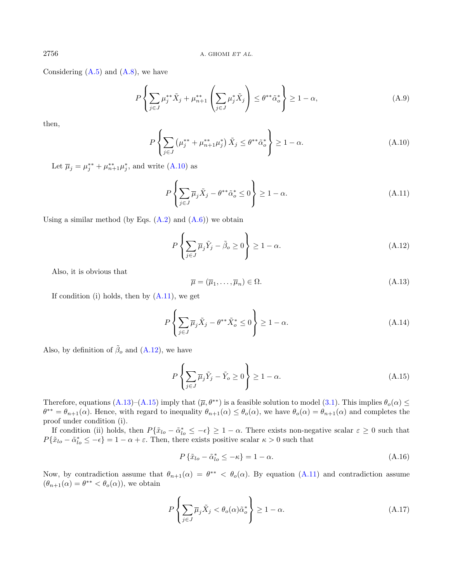Considering  $(A.5)$  and  $(A.8)$ , we have

<span id="page-17-1"></span>
$$
P\left\{\sum_{j\in J}\mu_j^{**}\tilde{X}_j + \mu_{n+1}^{**}\left(\sum_{j\in J}\mu_j^*\tilde{X}_j\right) \leq \theta^{**}\tilde{\alpha}_o^*\right\} \geq 1-\alpha,\tag{A.9}
$$

then,

<span id="page-17-3"></span><span id="page-17-2"></span>
$$
P\left\{\sum_{j\in J}\left(\mu_j^{**} + \mu_{n+1}^{**}\mu_j^*\right)\tilde{X}_j \leq \theta^{**}\tilde{\alpha}_o^*\right\} \geq 1-\alpha. \tag{A.10}
$$

Let  $\overline{\mu}_j = \mu_j^{**} + \mu_{n+1}^{**} \mu_j^*$ , and write  $(A.10)$  as

$$
P\left\{\sum_{j\in J} \overline{\mu}_j \tilde{X}_j - \theta^{**} \tilde{\alpha}^*_o \le 0\right\} \ge 1 - \alpha. \tag{A.11}
$$

Using a similar method (by Eqs.  $(A.2)$ ) and  $(A.6)$ ) we obtain

<span id="page-17-4"></span>
$$
P\left\{\sum_{j\in J} \overline{\mu}_j \tilde{Y}_j - \tilde{\beta}_o \ge 0\right\} \ge 1 - \alpha.
$$
\n(A.12)

Also, it is obvious that

<span id="page-17-5"></span>
$$
\overline{\mu} = (\overline{\mu}_1, \dots, \overline{\mu}_n) \in \Omega. \tag{A.13}
$$

If condition (i) holds, then by  $(A.11)$ , we get

$$
P\left\{\sum_{j\in J} \overline{\mu}_j \tilde{X}_j - \theta^{**} \tilde{X}_o^* \le 0\right\} \ge 1 - \alpha.
$$
\n(A.14)

Also, by definition of  $\tilde{\beta}_o$  and  $(A.12)$ , we have

$$
P\left\{\sum_{j\in J} \overline{\mu}_j \tilde{Y}_j - \tilde{Y}_o \ge 0\right\} \ge 1 - \alpha. \tag{A.15}
$$

Therefore, equations  $(A.13)$ – $(A.15)$  imply that  $(\overline{\mu}, \theta^{**})$  is a feasible solution to model [\(3.1\)](#page-3-1). This implies  $\theta_o(\alpha) \leq$  $\theta^{**} = \theta_{n+1}(\alpha)$ . Hence, with regard to inequality  $\theta_{n+1}(\alpha) \leq \theta_o(\alpha)$ , we have  $\theta_o(\alpha) = \theta_{n+1}(\alpha)$  and completes the proof under condition (i).

If condition (ii) holds, then  $P\{\tilde{x}_{lo} - \tilde{\alpha}_{lo}^* \le -\epsilon\} \ge 1 - \alpha$ . There exists non-negative scalar  $\epsilon \ge 0$  such that  $P{\{\tilde{x}_{lo} - \tilde{\alpha}_{lo}^* \le -\epsilon\}} = 1 - \alpha + \epsilon$ . Then, there exists positive scalar  $\kappa > 0$  such that

$$
P\left\{\tilde{x}_{lo} - \tilde{\alpha}_{lo}^* \le -\kappa\right\} = 1 - \alpha. \tag{A.16}
$$

Now, by contradiction assume that  $\theta_{n+1}(\alpha) = \theta^{**} < \theta_o(\alpha)$ . By equation [\(A.11\)](#page-17-1) and contradiction assume  $(\theta_{n+1}(\alpha) = \theta^{**} < \theta_o(\alpha))$ , we obtain

$$
P\left\{\sum_{j\in J} \overline{\mu}_j \tilde{X}_j < \theta_o(\alpha)\tilde{\alpha}_o^*\right\} \ge 1 - \alpha. \tag{A.17}
$$

<span id="page-17-0"></span>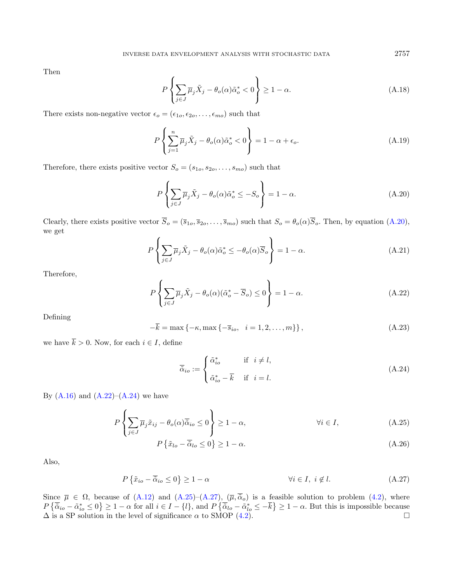Then

$$
P\left\{\sum_{j\in J} \overline{\mu}_j \tilde{X}_j - \theta_o(\alpha)\tilde{\alpha}_o^* < 0\right\} \ge 1 - \alpha. \tag{A.18}
$$

There exists non-negative vector  $\epsilon_o = (\epsilon_{1o}, \epsilon_{2o}, \dots, \epsilon_{mo})$  such that

$$
P\left\{\sum_{j=1}^{n} \overline{\mu}_j \tilde{X}_j - \theta_o(\alpha)\tilde{\alpha}_o^* < 0\right\} = 1 - \alpha + \epsilon_o. \tag{A.19}
$$

<span id="page-18-1"></span>Therefore, there exists positive vector  $S_o = (s_{1o}, s_{2o}, \ldots, s_{mo})$  such that

$$
P\left\{\sum_{j\in J} \overline{\mu}_j \tilde{X}_j - \theta_o(\alpha)\tilde{\alpha}_o^* \le -S_o\right\} = 1 - \alpha.
$$
\n(A.20)

Clearly, there exists positive vector  $\overline{S}_o = (\overline{s}_{1o}, \overline{s}_{2o}, \ldots, \overline{s}_{mo})$  such that  $S_o = \theta_o(\alpha) \overline{S}_o$ . Then, by equation [\(A.20\)](#page-18-0), we get

<span id="page-18-2"></span>
$$
P\left\{\sum_{j\in J} \overline{\mu}_j \tilde{X}_j - \theta_o(\alpha)\tilde{\alpha}_o^* \le -\theta_o(\alpha)\overline{S}_o\right\} = 1 - \alpha.
$$
 (A.21)

Therefore,

$$
P\left\{\sum_{j\in J}\overline{\mu}_j\tilde{X}_j - \theta_o(\alpha)(\tilde{\alpha}_o^* - \overline{S}_o) \le 0\right\} = 1 - \alpha.
$$
 (A.22)

Defining

$$
-\overline{k} = \max\left\{-\kappa, \max\left\{-\overline{s}_{io}, i = 1, 2, ..., m\right\}\right\},\tag{A.23}
$$

we have  $\overline{k} > 0$ . Now, for each  $i \in I$ , define

<span id="page-18-4"></span><span id="page-18-3"></span>
$$
\overline{\tilde{\alpha}}_{io} := \begin{cases} \tilde{\alpha}_{io}^* & \text{if } i \neq l, \\ \tilde{\alpha}_{io}^* - \overline{k} & \text{if } i = l. \end{cases}
$$
\n(A.24)

By  $(A.16)$  and  $(A.22)$ – $(A.24)$  we have

$$
P\left\{\sum_{j\in J} \overline{\mu}_j \tilde{x}_{ij} - \theta_o(\alpha)\overline{\tilde{\alpha}}_{io} \le 0\right\} \ge 1 - \alpha, \qquad \forall i \in I,
$$
\n(A.25)

$$
P\left\{\tilde{x}_{lo} - \overline{\tilde{\alpha}}_{lo} \le 0\right\} \ge 1 - \alpha. \tag{A.26}
$$

Also,

$$
P\left\{\tilde{x}_{io} - \overline{\tilde{\alpha}}_{io} \le 0\right\} \ge 1 - \alpha \qquad \forall i \in I, \ i \notin l. \tag{A.27}
$$

Since  $\bar{\mu} \in \Omega$ , because of  $(A.12)$  and  $(A.25)-(A.27)$  $(A.25)-(A.27)$ ,  $(\bar{\mu}, \bar{\alpha}_o)$  is a feasible solution to problem  $(4.2)$ , where  $P\{\overline{\tilde{\alpha}}_{io} - \tilde{\alpha}_{io}^* \leq 0\} \geq 1 - \alpha$  for all  $i \in I - \{l\}$ , and  $P\{\overline{\tilde{\alpha}}_{lo} - \tilde{\alpha}_{lo}^* \leq -\overline{k}\} \geq 1 - \alpha$ . But this is impossible because  $\Delta$  is a SP solution in the level of significance  $\alpha$  to SMOP [\(4.2\)](#page-7-2).

<span id="page-18-0"></span>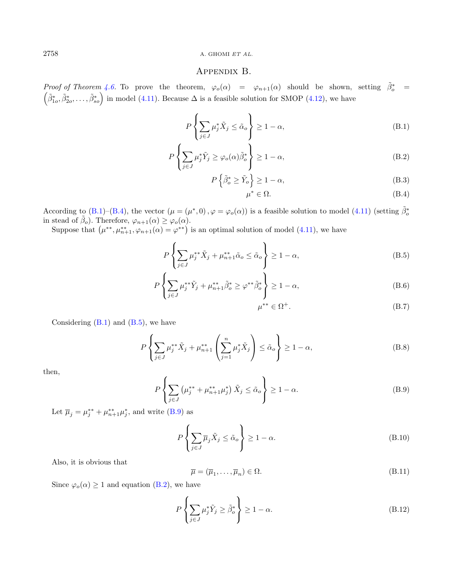## <span id="page-19-5"></span><span id="page-19-1"></span>Appendix B.

<span id="page-19-0"></span>Proof of Theorem [4.6.](#page-11-0) To prove the theorem,  $\varphi_o(\alpha) = \varphi_{n+1}(\alpha)$  should be shown, setting  $\tilde{\beta}_o^* = (\tilde{\beta}_i^* - \tilde{\beta}_i^*)$  in model (4.11) Because  $\Delta$  is a feasible solution for SMOP (4.12) we have  $(\tilde{\beta}_{1o}^*, \tilde{\beta}_{2o}^*, \ldots, \tilde{\beta}_{so}^*)$  in model [\(4.11\)](#page-10-1). Because  $\Delta$  is a feasible solution for SMOP [\(4.12\)](#page-10-3), we have

$$
P\left\{\sum_{j\in J}\mu_j^*\tilde{X}_j\leq \tilde{\alpha}_o\right\}\geq 1-\alpha,\tag{B.1}
$$

$$
P\left\{\sum_{j\in J}\mu_j^*\tilde{Y}_j\geq\varphi_o(\alpha)\tilde{\beta}_o^*\right\}\geq1-\alpha,\tag{B.2}
$$

$$
P\left\{\tilde{\beta}_o^* \ge \tilde{Y}_o\right\} \ge 1 - \alpha,\tag{B.3}
$$

<span id="page-19-8"></span><span id="page-19-6"></span><span id="page-19-3"></span><span id="page-19-2"></span>
$$
\mu^* \in \Omega. \tag{B.4}
$$

According to [\(B.1\)](#page-19-1)–[\(B.4\)](#page-19-2), the vector  $(\mu = (\mu^*, 0), \varphi = \varphi_o(\alpha))$  is a feasible solution to model [\(4.11\)](#page-10-1) (setting  $\tilde{\beta}_o^*$ in stead of  $\tilde{\beta}_o$ ). Therefore,  $\varphi_{n+1}(\alpha) \geq \varphi_o(\alpha)$ .

<span id="page-19-4"></span>Suppose that  $(\mu^{**}, \mu^{**}_{n+1}, \varphi_{n+1}(\alpha) = \varphi^{**})$  is an optimal solution of model [\(4.11\)](#page-10-1), we have

$$
P\left\{\sum_{j\in J}\mu_j^{**}\tilde{X}_j + \mu_{n+1}^{**}\tilde{\alpha}_o \le \tilde{\alpha}_o\right\} \ge 1 - \alpha,
$$
\n(B.5)

<span id="page-19-9"></span>
$$
P\left\{\sum_{j\in J}\mu_j^{**}\tilde{Y}_j + \mu_{n+1}^{**}\tilde{\beta}_o^* \ge \varphi^{**}\tilde{\beta}_o^*\right\} \ge 1 - \alpha,\tag{B.6}
$$

$$
\mu^{**} \in \Omega^+.
$$
 (B.7)

Considering  $(B.1)$  and  $(B.5)$ , we have

<span id="page-19-10"></span>
$$
P\left\{\sum_{j\in J}\mu_j^{**}\tilde{X}_j + \mu_{n+1}^{**}\left(\sum_{j=1}^n\mu_j^*\tilde{X}_j\right) \le \tilde{\alpha}_o\right\} \ge 1-\alpha,\tag{B.8}
$$

then,

$$
P\left\{\sum_{j\in J} \left(\mu_j^{**} + \mu_{n+1}^{**} \mu_j^*\right) \tilde{X}_j \le \tilde{\alpha}_o\right\} \ge 1 - \alpha. \tag{B.9}
$$

Let  $\bar{\mu}_j = \mu_j^{**} + \mu_{n+1}^{**} \mu_j^*$ , and write [\(B.9\)](#page-19-4) as

$$
P\left\{\sum_{j\in J} \overline{\mu}_j \tilde{X}_j \le \tilde{\alpha}_o\right\} \ge 1 - \alpha.
$$
\n(B.10)

Also, it is obvious that

$$
\overline{\mu} = (\overline{\mu}_1, \dots, \overline{\mu}_n) \in \Omega. \tag{B.11}
$$

Since  $\varphi_o(\alpha) \ge 1$  and equation [\(B.2\)](#page-19-5), we have

<span id="page-19-7"></span>
$$
P\left\{\sum_{j\in J} \mu_j^* \tilde{Y}_j \ge \tilde{\beta}_o^* \right\} \ge 1 - \alpha. \tag{B.12}
$$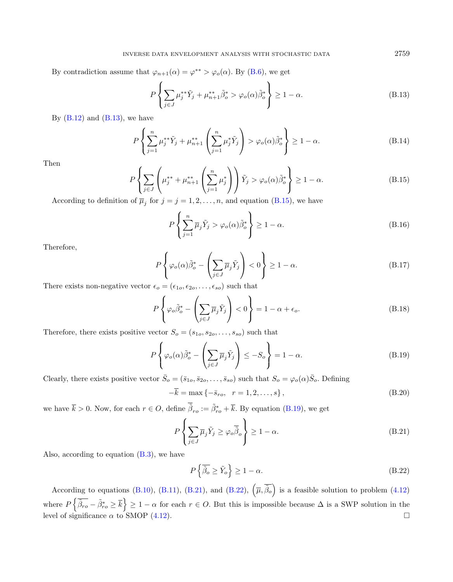<span id="page-20-2"></span>By contradiction assume that  $\varphi_{n+1}(\alpha) = \varphi^{**} > \varphi_o(\alpha)$ . By [\(B.6\)](#page-19-6), we get

$$
P\left\{\sum_{j\in J}\mu_j^{**}\tilde{Y}_j + \mu_{n+1}^{**}\tilde{\beta}_o^* > \varphi_o(\alpha)\tilde{\beta}_o^*\right\} \ge 1 - \alpha.
$$
 (B.13)

By  $(B.12)$  and  $(B.13)$ , we have

$$
P\left\{\sum_{j=1}^{n} \mu_j^{**} \tilde{Y}_j + \mu_{n+1}^{**} \left(\sum_{j=1}^{n} \mu_j^{*} \tilde{Y}_j\right) > \varphi_o(\alpha) \tilde{\beta}_o^{*}\right\} \ge 1 - \alpha.
$$
 (B.14)

Then

$$
P\left\{\sum_{j\in J}\left(\mu_j^{**} + \mu_{n+1}^{**}\left(\sum_{j=1}^n \mu_j^*\right)\right)\tilde{Y}_j > \varphi_o(\alpha)\tilde{\beta}_o^*\right\} \ge 1 - \alpha. \tag{B.15}
$$

According to definition of  $\overline{\mu}_j$  for  $j = j = 1, 2, \ldots, n$ , and equation [\(B.15\)](#page-20-2), we have

<span id="page-20-3"></span><span id="page-20-0"></span>
$$
P\left\{\sum_{j=1}^{n} \overline{\mu}_j \tilde{Y}_j > \varphi_o(\alpha) \tilde{\beta}_o^* \right\} \ge 1 - \alpha. \tag{B.16}
$$

Therefore,

$$
P\left\{\varphi_o(\alpha)\tilde{\beta}_o^* - \left(\sum_{j\in J} \overline{\mu}_j \tilde{Y}_j\right) < 0\right\} \ge 1 - \alpha. \tag{B.17}
$$

There exists non-negative vector  $\epsilon_o = (\epsilon_{1o}, \epsilon_{2o}, \dots, \epsilon_{so})$  such that

<span id="page-20-4"></span>
$$
P\left\{\varphi_o \tilde{\beta}_o^* - \left(\sum_{j\in J} \overline{\mu}_j \tilde{Y}_j\right) < 0\right\} = 1 - \alpha + \epsilon_o. \tag{B.18}
$$

Therefore, there exists positive vector  $S_o = (s_{1o}, s_{2o}, \ldots, s_{so})$  such that

<span id="page-20-5"></span>
$$
P\left\{\varphi_o(\alpha)\tilde{\beta}_o^* - \left(\sum_{j\in J} \overline{\mu}_j \tilde{Y}_j\right) \le -S_o\right\} = 1 - \alpha.
$$
\n(B.19)

Clearly, there exists positive vector  $\bar{S}_o = (\bar{s}_{1o}, \bar{s}_{2o}, \ldots, \bar{s}_{so})$  such that  $S_o = \varphi_o(\alpha) \bar{S}_o$ . Defining

$$
-\overline{k} = \max\{-\overline{s}_{ro}, r = 1, 2, ..., s\},\tag{B.20}
$$

we have  $\bar{k} > 0$ . Now, for each  $r \in O$ , define  $\tilde{\beta}_{ro} := \tilde{\beta}_{ro}^* + \bar{k}$ . By equation [\(B.19\)](#page-20-3), we get

$$
P\left\{\sum_{j\in J} \overline{\mu}_j \tilde{Y}_j \ge \varphi_o \overline{\tilde{\beta}}_o \right\} \ge 1 - \alpha.
$$
 (B.21)

Also, according to equation  $(B.3)$ , we have

$$
P\left\{\overline{\tilde{\beta}_o} \ge \tilde{Y}_o\right\} \ge 1 - \alpha. \tag{B.22}
$$

According to equations [\(B.10\)](#page-19-9), [\(B.11\)](#page-19-10), [\(B.21\)](#page-20-4), and [\(B.22\)](#page-20-5),  $(\overline{\mu}, \overline{\tilde{\beta}_o})$  is a feasible solution to problem [\(4.12\)](#page-10-3) where  $P\left\{\tilde{\beta}_{ro} - \tilde{\beta}_{ro}^* \geq \overline{k}\right\} \geq 1 - \alpha$  for each  $r \in O$ . But this is impossible because  $\Delta$  is a SWP solution in the level of significance  $\alpha$  to SMOP [\(4.12\)](#page-10-3).

<span id="page-20-1"></span>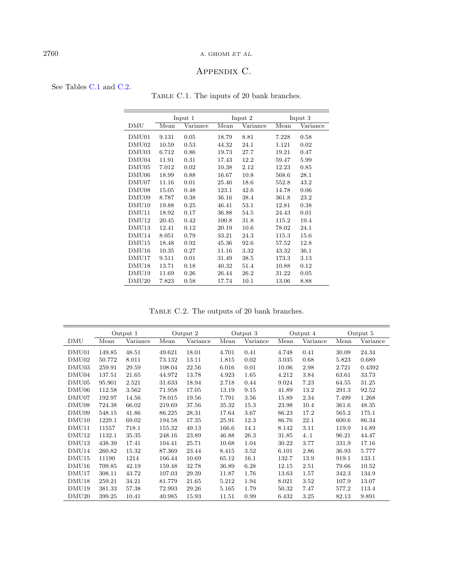# $2760$   $\,$  A. GHOMI  $ET$   $AL.$

# <span id="page-21-1"></span>Appendix C.

## <span id="page-21-0"></span>See Tables [C.1](#page-21-1) and [C.2.](#page-21-2)

TABLE C.1. The inputs of 20 bank branches.

|                   |       | Input 1  |       | Input 2  |       | Input 3  |
|-------------------|-------|----------|-------|----------|-------|----------|
| DMU               | Mean  | Variance | Mean  | Variance | Mean  | Variance |
| DMU01             | 9.131 | 0.05     | 18.79 | 8.81     | 7.228 | 0.58     |
| DMU02             | 10.59 | 0.53     | 44.32 | 24.1     | 1.121 | 0.02     |
| DMU03             | 6.712 | 0.86     | 19.73 | 27.7     | 19.21 | 0.47     |
| DMU <sub>04</sub> | 11.91 | 0.31     | 17.43 | 12.2     | 59.47 | 5.99     |
| DMU <sub>05</sub> | 7.012 | 0.02     | 10.38 | 2.12     | 12.23 | 0.85     |
| DMU <sub>06</sub> | 18.99 | 0.88     | 16.67 | 10.8     | 568.6 | 28.1     |
| DMU07             | 11.16 | 0.01     | 25.46 | 18.6     | 552.8 | 43.2     |
| DMU <sub>08</sub> | 15.05 | 0.48     | 123.1 | 42.6     | 14.78 | 0.06     |
| DMU09             | 8.787 | 0.38     | 36.16 | 38.4     | 361.8 | 23.2     |
| DMU10             | 19.88 | 0.25     | 46.41 | 53.1     | 12.81 | 0.38     |
| DMU11             | 18.92 | 0.17     | 36.88 | 54.5     | 24.43 | 0.01     |
| DMU12             | 20.45 | 0.42     | 100.8 | 31.8     | 115.2 | 19.4     |
| DMU <sub>13</sub> | 12.41 | 0.12     | 20.19 | 10.6     | 78.02 | 24.1     |
| DMU14             | 8.051 | 0.79     | 33.21 | 24.3     | 115.3 | 15.6     |
| DMU15             | 18.48 | 0.92     | 45.36 | 92.6     | 57.52 | 12.8     |
| DMU <sub>16</sub> | 10.35 | 0.27     | 11.16 | 3.32     | 43.32 | 36.1     |
| DMU17             | 9.511 | 0.01     | 31.49 | 38.5     | 173.3 | 3.13     |
| DMU <sub>18</sub> | 13.71 | 0.18     | 40.32 | 51.4     | 10.88 | 0.12     |
| DMU <sub>19</sub> | 11.69 | 0.26     | 26.44 | 26.2     | 31.22 | 0.05     |
| DMU20             | 7.823 | 0.58     | 17.74 | 10.1     | 13.06 | 8.88     |
|                   |       |          |       |          |       |          |

<span id="page-21-2"></span>TABLE C.2. The outputs of 20 bank branches.

|                   |        | Output 1 | Output 2 |          |       | Output 3 | Output 4 |          | Output 5 |          |
|-------------------|--------|----------|----------|----------|-------|----------|----------|----------|----------|----------|
| DMU               | Mean   | Variance | Mean     | Variance | Mean  | Variance | Mean     | Variance | Mean     | Variance |
| DMU01             | 149.85 | 48.51    | 49.621   | 18.01    | 4.701 | 0.41     | 4.748    | 0.41     | 30.09    | 24.34    |
| DMU <sub>02</sub> | 50.772 | 8.011    | 73.132   | 13.11    | 1.815 | 0.02     | 3.035    | 0.68     | 5.823    | 0.689    |
| DMU03             | 259.91 | 29.59    | 108.04   | 22.56    | 6.016 | 0.01     | 10.06    | 2.98     | 2.721    | 0.4392   |
| DMU04             | 137.51 | 21.65    | 44.972   | 13.78    | 4.923 | 1.65     | 4.212    | 3.84     | 63.61    | 33.73    |
| DMU <sub>05</sub> | 95.901 | 2.521    | 31.633   | 18.94    | 2.718 | 0.44     | 9.024    | 7.23     | 64.55    | 31.25    |
| DMU <sub>06</sub> | 112.58 | 3.562    | 71.958   | 17.05    | 13.19 | 9.15     | 41.89    | 13.2     | 291.3    | 92.52    |
| DMU07             | 192.97 | 14.56    | 78.015   | 19.56    | 7.791 | 3.56     | 15.89    | 2.34     | 7.499    | 1.268    |
| DMU08             | 724.38 | 66.02    | 219.69   | 37.56    | 35.32 | 15.3     | 23.98    | 10.4     | 361.6    | 48.35    |
| DMU09             | 548.15 | 41.86    | 86.225   | 28.31    | 17.64 | 3.67     | 86.23    | 17.2     | 565.2    | 175.1    |
| DMU10             | 1229.1 | 69.02    | 194.58   | 17.35    | 25.91 | 12.3     | 86.76    | 22.1     | 600.6    | 86.34    |
| DMU11             | 11557  | 718.1    | 155.32   | 49.13    | 166.6 | 14.1     | 8.142    | 3.11     | 119.9    | 14.89    |
| DMU12             | 1132.1 | 35.35    | 248.16   | 23.89    | 46.88 | 26.3     | 31.85    | 4.1      | 96.21    | 44.47    |
| DMU <sub>13</sub> | 438.39 | 17.41    | 104.41   | 25.71    | 10.68 | 1.04     | 30.22    | 3.77     | 331.9    | 17.16    |
| DMU <sub>14</sub> | 260.82 | 15.32    | 87.369   | 23.44    | 8.415 | 3.52     | 6.101    | 2.86     | 36.93    | 5.777    |
| DMU <sub>15</sub> | 11190  | 1214     | 166.44   | 10.69    | 65.12 | 16.1     | 132.7    | 13.9     | 919.1    | 133.1    |
| DMU <sub>16</sub> | 709.85 | 42.19    | 159.48   | 32.78    | 36.89 | 6.28     | 12.15    | 2.51     | 79.66    | 10.52    |
| DMU17             | 308.11 | 43.72    | 107.03   | 29.39    | 11.87 | 1.76     | 13.63    | 1.57     | 342.3    | 134.9    |
| DMU <sub>18</sub> | 259.21 | 34.21    | 81.779   | 21.65    | 5.212 | 1.94     | 8.021    | 3.52     | 107.9    | 13.07    |
| DMU <sub>19</sub> | 381.33 | 57.38    | 72.993   | 29.26    | 5.165 | 1.79     | 50.32    | 7.47     | 577.2    | 113.4    |
| DMU <sub>20</sub> | 399.25 | 10.41    | 40.985   | 15.93    | 11.51 | 0.99     | 6.432    | 3.25     | 82.13    | 9.891    |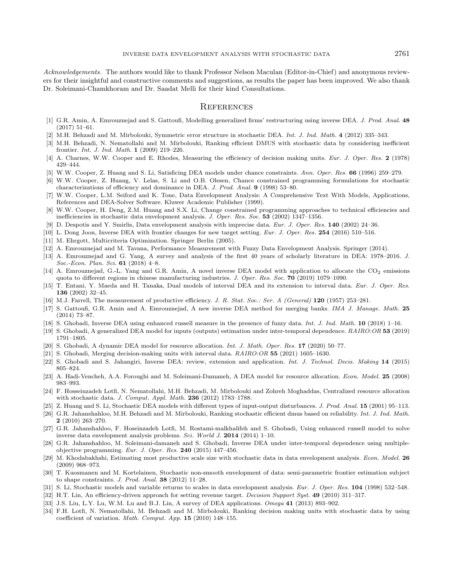<span id="page-22-18"></span><span id="page-22-17"></span><span id="page-22-15"></span><span id="page-22-10"></span><span id="page-22-5"></span><span id="page-22-2"></span><span id="page-22-0"></span>Acknowledgements. The authors would like to thank Professor Nelson Maculan (Editor-in-Chief) and anonymous reviewers for their insightful and constructive comments and suggestions, as results the paper has been improved. We also thank Dr. Soleimani-Chamkhoram and Dr. Saadat Melli for their kind Consultations.

#### **REFERENCES**

- <span id="page-22-28"></span><span id="page-22-22"></span><span id="page-22-21"></span>[1] G.R. Amin, A. Emrouznejad and S. Gattoufi, Modelling generalized firms' restructuring using inverse DEA. J. Prod. Anal. 48 (2017) 51–61.
- <span id="page-22-31"></span>[2] M.H. Behzadi and M. Mirbolouki, Symmetric error structure in stochastic DEA. Int. J. Ind. Math. 4 (2012) 335–343.
- <span id="page-22-11"></span><span id="page-22-1"></span>[3] M.H. Behzadi, N. Nematollahi and M. Mirbolouki, Ranking efficient DMUS with stochastic data by considering inefficient frontier. Int. J. Ind. Math. 1 (2009) 219–226.
- <span id="page-22-23"></span>[4] A. Charnes, W.W. Cooper and E. Rhodes, Measuring the efficiency of decision making units. Eur. J. Oper. Res. 2 (1978) 429–444.
- [5] W.W. Cooper, Z. Huang and S. Li, Satisficing DEA models under chance constraints. Ann. Oper. Res. 66 (1996) 259–279.
- <span id="page-22-29"></span>[6] W.W. Cooper, Z. Huang, V. Lelas, S. Li and O.B. Olesen, Chance constrained programming formulations for stochastic characterizations of efficiency and dominance in DEA. J. Prod. Anal. 9 (1998) 53–80.
- <span id="page-22-9"></span><span id="page-22-3"></span>[7] W.W. Cooper, L.M. Seiford and K. Tone, Data Envelopment Analysis: A Comprehensive Text With Models, Applications, References and DEA-Solver Software. Kluwer Academic Publisher (1999).
- <span id="page-22-27"></span>[8] W.W. Cooper, H. Deng, Z.M. Huang and S.X. Li, Change constrained programming approaches to technical efficiencies and inefficiencies in stochastic data envelopment analysis. J. Oper. Res. Soc. 53 (2002) 1347–1356.
- <span id="page-22-24"></span>[9] D. Despotis and Y. Smirlis, Data envelopment analysis with imprecise data. Eur. J. Oper. Res. 140 (2002) 24–36.
- [10] L. Dong Joon, Inverse DEA with frontier changes for new target setting. Eur. J. Oper. Res. 254 (2016) 510–516.
- <span id="page-22-25"></span>[11] M. Ehrgott, Multicriteria Optimization. Springer Berlin (2005).
- <span id="page-22-30"></span>[12] A. Emrouznejad and M. Tavana, Performance Measurement with Fuzzy Data Envelopment Analysis. Springer (2014).
- <span id="page-22-7"></span>[13] A. Emrouznejad and G. Yang, A survey and analysis of the first 40 years of scholarly literature in DEA: 1978–2016. J. Soc.-Econ. Plan. Sci. 61 (2018) 4–8.
- <span id="page-22-8"></span>[14] A. Emrouznejad, G.-L. Yang and G.R. Amin, A novel inverse DEA model with application to allocate the CO<sub>2</sub> emissions quota to different regions in chinese manufacturing industries. J. Oper. Res. Soc. 70 (2019) 1079–1090.
- <span id="page-22-20"></span>[15] T. Entani, Y. Maeda and H. Tanaka, Dual models of interval DEA and its extension to interval data. Eur. J. Oper. Res. 136 (2002) 32–45.
- <span id="page-22-12"></span>[16] M.J. Farrell, The measurement of productive efficiency. J. R. Stat. Soc.: Ser. A (General) 120 (1957) 253–281.
- <span id="page-22-13"></span>[17] S. Gattoufi, G.R. Amin and A. Emrouznejad, A new inverse DEA method for merging banks. IMA J. Manage. Math. 25 (2014) 73–87.
- <span id="page-22-33"></span>[18] S. Ghobadi, Inverse DEA using enhanced russell measure in the presence of fuzzy data. Int. J. Ind. Math. 10 (2018) 1–16.
- <span id="page-22-26"></span>[19] S. Ghobadi, A generalized DEA model for inputs (outputs) estimation under inter-temporal dependence. RAIRO:OR 53 (2019) 1791–1805.
- <span id="page-22-19"></span>[20] S. Ghobadi, A dynamic DEA model for resource allocation. Int. J. Math. Oper. Res. 17 (2020) 50–77.
- [21] S. Ghobadi, Merging decision-making units with interval data. RAIRO:OR 55 (2021) 1605–1630.
- <span id="page-22-16"></span>[22] S. Ghobadi and S. Jahangiri, Inverse DEA: review, extension and application. Int. J. Technol. Decis. Making 14 (2015) 805–824.
- <span id="page-22-14"></span>[23] A. Hadi-Vencheh, A.A. Foroughi and M. Soleimani-Damaneh, A DEA model for resource allocation. Econ. Model. 25 (2008) 983–993.
- <span id="page-22-32"></span><span id="page-22-4"></span>[24] F. Hosseinzadeh Lotfi, N. Nematollahi, M.H. Behzadi, M. Mirbolouki and Zohreh Moghaddas, Centralized resource allocation with stochastic data. J. Comput. Appl. Math. 236 (2012) 1783–1788.
- <span id="page-22-6"></span>[25] Z. Huang and S. Li, Stochastic DEA models with different types of input-output disturbances. J. Prod. Anal. 15 (2001) 95–113.
- [26] G.R. Jahanshahloo, M.H. Behzadi and M. Mirbolouki, Ranking stochastic efficient dmus based on reliability. Int. J. Ind. Math. 2 (2010) 263–270.
- [27] G.R. Jahanshahloo, F. Hoseinzadeh Lotfi, M. Rostami-malkhalifeh and S. Ghobadi, Using enhanced russell model to solve inverse data envelopment analysis problems. Sci. World J. 2014 (2014) 1–10.
- [28] G.R. Jahanshahloo, M. Soleimani-damaneh and S. Ghobadi, Inverse DEA under inter-temporal dependence using multipleobjective programming. Eur. J. Oper. Res. 240 (2015) 447–456.
- [29] M. Khodabakhshi, Estimating most productive scale size with stochastic data in data envelopment analysis. Econ. Model. 26 (2009) 968–973.
- [30] T. Kuosmanen and M. Kortelainen, Stochastic non-smooth envelopment of data: semi-parametric frontier estimation subject to shape constraints. J. Prod. Anal. 38 (2012) 11–28.
- [31] S. Li, Stochastic models and variable returns to scales in data envelopment analysis. Eur. J. Oper. Res. 104 (1998) 532-548.
- [32] H.T. Lin, An efficiency-driven approach for setting revenue target. Decision Support Syst. 49 (2010) 311–317.
- [33] J.S. Liu, L.Y. Lu, W.M. Lu and B.J. Lin, A survey of DEA applications. Omega 41 (2013) 893-902.
- [34] F.H. Lotfi, N. Nematollahi, M. Behzadi and M. Mirbolouki, Ranking decision making units with stochastic data by using coefficient of variation. Math. Comput. App. 15 (2010) 148–155.